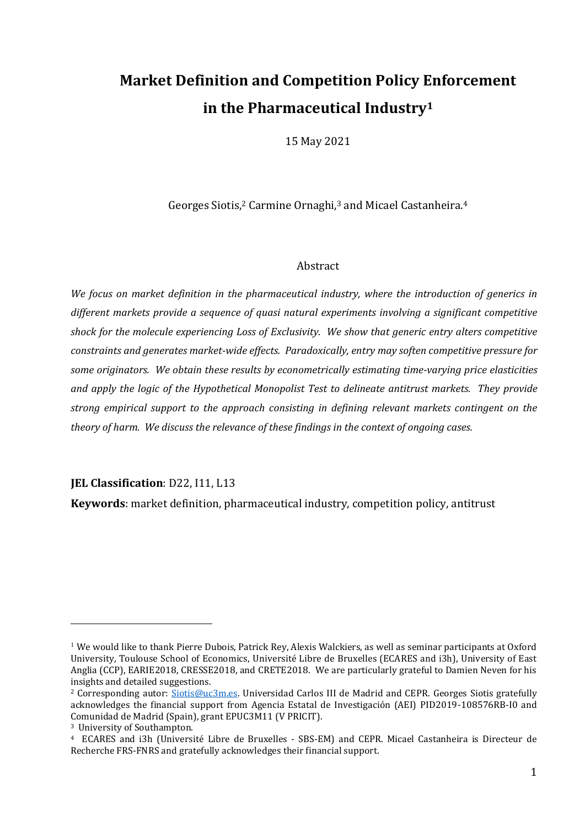# **Market Definition and Competition Policy Enforcement in the Pharmaceutical Industry<sup>1</sup>**

15 May 2021

Georges Siotis,<sup>2</sup> Carmine Ornaghi,<sup>3</sup> and Micael Castanheira.<sup>4</sup>

#### Abstract

*We focus on market definition in the pharmaceutical industry, where the introduction of generics in different markets provide a sequence of quasi natural experiments involving a significant competitive shock for the molecule experiencing Loss of Exclusivity. We show that generic entry alters competitive constraints and generates market-wide effects. Paradoxically, entry may soften competitive pressure for some originators. We obtain these results by econometrically estimating time-varying price elasticities and apply the logic of the Hypothetical Monopolist Test to delineate antitrust markets. They provide strong empirical support to the approach consisting in defining relevant markets contingent on the theory of harm. We discuss the relevance of these findings in the context of ongoing cases.*

**JEL Classification**: D22, I11, L13

**Keywords**: market definition, pharmaceutical industry, competition policy, antitrust

 $1$  We would like to thank Pierre Dubois, Patrick Rey, Alexis Walckiers, as well as seminar participants at Oxford University, Toulouse School of Economics, Université Libre de Bruxelles (ECARES and i3h), University of East Anglia (CCP), EARIE2018, CRESSE2018, and CRETE2018. We are particularly grateful to Damien Neven for his insights and detailed suggestions.

<sup>&</sup>lt;sup>2</sup> Corresponding autor: [Siotis@uc3m.es.](mailto:Siotis@uc3m.es) Universidad Carlos III de Madrid and CEPR. Georges Siotis gratefully acknowledges the financial support from Agencia Estatal de Investigación (AEI) PID2019-108576RB-I0 and Comunidad de Madrid (Spain), grant EPUC3M11 (V PRICIT).

<sup>3</sup> University of Southampton.

<sup>4</sup> ECARES and i3h (Université Libre de Bruxelles - SBS-EM) and CEPR. Micael Castanheira is Directeur de Recherche FRS-FNRS and gratefully acknowledges their financial support.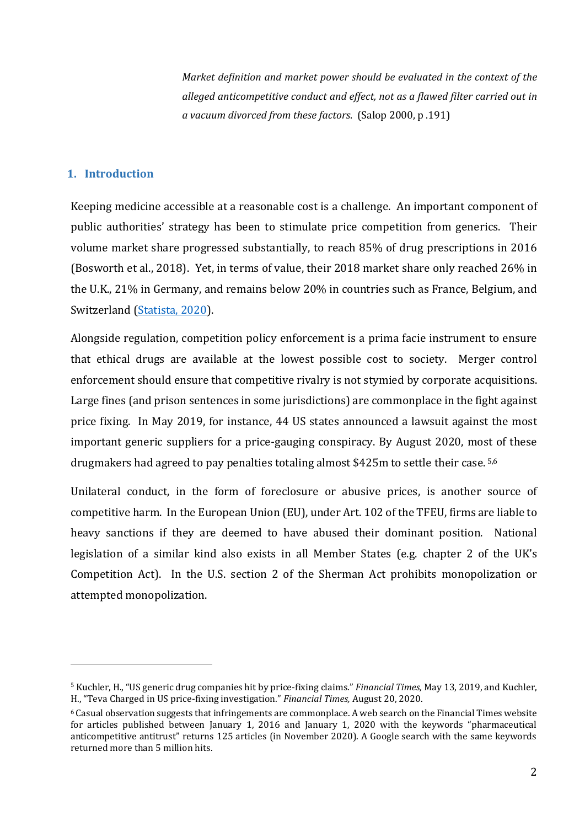*Market definition and market power should be evaluated in the context of the alleged anticompetitive conduct and effect, not as a flawed filter carried out in a vacuum divorced from these factors*. (Salop 2000, p .191)

## **1. Introduction**

1

Keeping medicine accessible at a reasonable cost is a challenge. An important component of public authorities' strategy has been to stimulate price competition from generics. Their volume market share progressed substantially, to reach 85% of drug prescriptions in 2016 (Bosworth et al., 2018). Yet, in terms of value, their 2018 market share only reached 26% in the U.K., 21% in Germany, and remains below 20% in countries such as France, Belgium, and Switzerland [\(Statista, 2020\)](https://www.statista.com/statistics/316079/european-pharmaceutical-market-generics-share-by-country/).

Alongside regulation, competition policy enforcement is a prima facie instrument to ensure that ethical drugs are available at the lowest possible cost to society. Merger control enforcement should ensure that competitive rivalry is not stymied by corporate acquisitions. Large fines (and prison sentences in some jurisdictions) are commonplace in the fight against price fixing. In May 2019, for instance, 44 US states announced a lawsuit against the most important generic suppliers for a price-gauging conspiracy. By August 2020, most of these drugmakers had agreed to pay penalties totaling almost \$425m to settle their case. 5,6

Unilateral conduct, in the form of foreclosure or abusive prices, is another source of competitive harm. In the European Union (EU), under Art. 102 of the TFEU, firms are liable to heavy sanctions if they are deemed to have abused their dominant position. National legislation of a similar kind also exists in all Member States (e.g. chapter 2 of the UK's Competition Act). In the U.S. section 2 of the Sherman Act prohibits monopolization or attempted monopolization.

<sup>5</sup> Kuchler, H., "US generic drug companies hit by price-fixing claims." *Financial Times,* May 13, 2019, and Kuchler, H., "Teva Charged in US price-fixing investigation." *Financial Times,* August 20, 2020.

<sup>6</sup> Casual observation suggests that infringements are commonplace. A web search on the Financial Times website for articles published between January 1, 2016 and January 1, 2020 with the keywords "pharmaceutical anticompetitive antitrust" returns 125 articles (in November 2020). A Google search with the same keywords returned more than 5 million hits.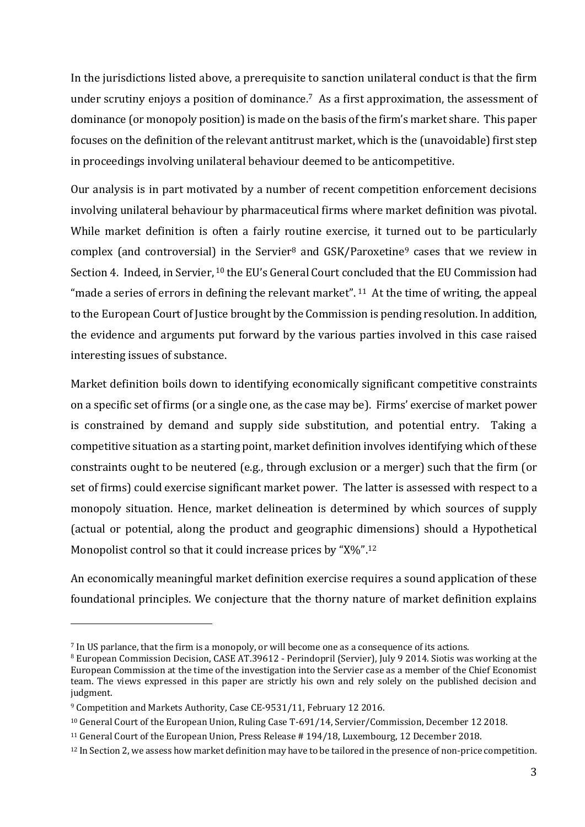In the jurisdictions listed above, a prerequisite to sanction unilateral conduct is that the firm under scrutiny enjoys a position of dominance. <sup>7</sup> As a first approximation, the assessment of dominance (or monopoly position) is made on the basis of the firm's market share. This paper focuses on the definition of the relevant antitrust market, which is the (unavoidable) first step in proceedings involving unilateral behaviour deemed to be anticompetitive.

Our analysis is in part motivated by a number of recent competition enforcement decisions involving unilateral behaviour by pharmaceutical firms where market definition was pivotal. While market definition is often a fairly routine exercise, it turned out to be particularly complex (and controversial) in the Servier<sup>8</sup> and GSK/Paroxetine<sup>9</sup> cases that we review in Section 4. Indeed, in Servier, <sup>10</sup> the EU's General Court concluded that the EU Commission had "made a series of errors in defining the relevant market".  $11$  At the time of writing, the appeal to the European Court of Justice brought by the Commission is pending resolution. In addition, the evidence and arguments put forward by the various parties involved in this case raised interesting issues of substance.

Market definition boils down to identifying economically significant competitive constraints on a specific set of firms (or a single one, as the case may be). Firms' exercise of market power is constrained by demand and supply side substitution, and potential entry. Taking a competitive situation as a starting point, market definition involves identifying which of these constraints ought to be neutered (e.g., through exclusion or a merger) such that the firm (or set of firms) could exercise significant market power. The latter is assessed with respect to a monopoly situation. Hence, market delineation is determined by which sources of supply (actual or potential, along the product and geographic dimensions) should a Hypothetical Monopolist control so that it could increase prices by "X%".<sup>12</sup>

An economically meaningful market definition exercise requires a sound application of these foundational principles. We conjecture that the thorny nature of market definition explains

<sup>7</sup> In US parlance, that the firm is a monopoly, or will become one as a consequence of its actions.

<sup>8</sup> European Commission Decision, CASE AT.39612 - Perindopril (Servier), July 9 2014. Siotis was working at the European Commission at the time of the investigation into the Servier case as a member of the Chief Economist team. The views expressed in this paper are strictly his own and rely solely on the published decision and judgment.

<sup>9</sup> Competition and Markets Authority, Case CE-9531/11, February 12 2016.

<sup>10</sup> General Court of the European Union, Ruling Case T-691/14, Servier/Commission, December 12 2018.

<sup>11</sup> General Court of the European Union, Press Release # 194/18, Luxembourg, 12 December 2018.

<sup>&</sup>lt;sup>12</sup> In Section 2, we assess how market definition may have to be tailored in the presence of non-price competition.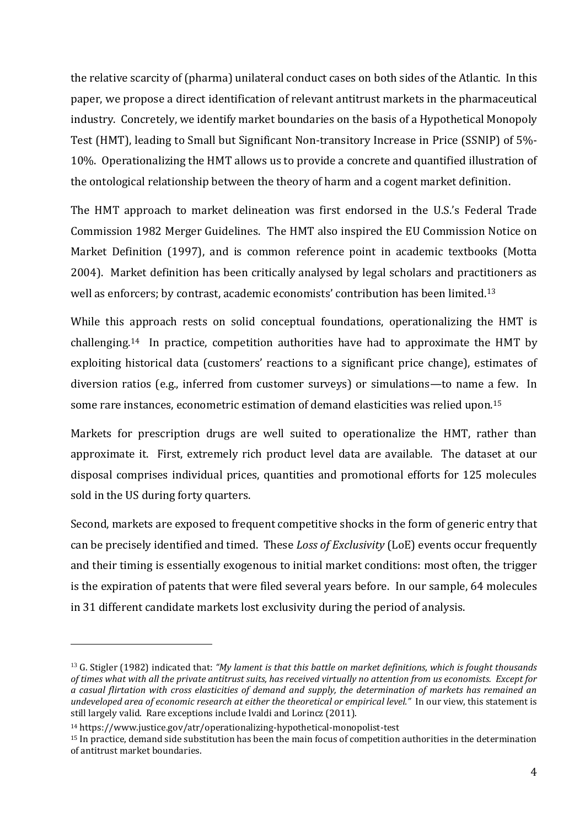the relative scarcity of (pharma) unilateral conduct cases on both sides of the Atlantic. In this paper, we propose a direct identification of relevant antitrust markets in the pharmaceutical industry. Concretely, we identify market boundaries on the basis of a Hypothetical Monopoly Test (HMT), leading to Small but Significant Non-transitory Increase in Price (SSNIP) of 5%- 10%. Operationalizing the HMT allows us to provide a concrete and quantified illustration of the ontological relationship between the theory of harm and a cogent market definition.

The HMT approach to market delineation was first endorsed in the U.S.'s Federal Trade Commission 1982 Merger Guidelines. The HMT also inspired the EU Commission Notice on Market Definition (1997), and is common reference point in academic textbooks (Motta 2004). Market definition has been critically analysed by legal scholars and practitioners as well as enforcers; by contrast, academic economists' contribution has been limited.<sup>13</sup>

While this approach rests on solid conceptual foundations, operationalizing the HMT is challenging. <sup>14</sup> In practice, competition authorities have had to approximate the HMT by exploiting historical data (customers' reactions to a significant price change), estimates of diversion ratios (e.g., inferred from customer surveys) or simulations—to name a few. In some rare instances, econometric estimation of demand elasticities was relied upon.<sup>15</sup>

Markets for prescription drugs are well suited to operationalize the HMT, rather than approximate it. First, extremely rich product level data are available. The dataset at our disposal comprises individual prices, quantities and promotional efforts for 125 molecules sold in the US during forty quarters.

Second, markets are exposed to frequent competitive shocks in the form of generic entry that can be precisely identified and timed. These *Loss of Exclusivity* (LoE) events occur frequently and their timing is essentially exogenous to initial market conditions: most often, the trigger is the expiration of patents that were filed several years before. In our sample, 64 molecules in 31 different candidate markets lost exclusivity during the period of analysis.

<sup>13</sup> G. Stigler (1982) indicated that: *"My lament is that this battle on market definitions, which is fought thousands of times what with all the private antitrust suits, has received virtually no attention from us economists. Except for a casual flirtation with cross elasticities of demand and supply, the determination of markets has remained an undeveloped area of economic research at either the theoretical or empirical level."* In our view, this statement is still largely valid. Rare exceptions include Ivaldi and Lorincz (2011).

<sup>14</sup> https://www.justice.gov/atr/operationalizing-hypothetical-monopolist-test

<sup>15</sup> In practice, demand side substitution has been the main focus of competition authorities in the determination of antitrust market boundaries.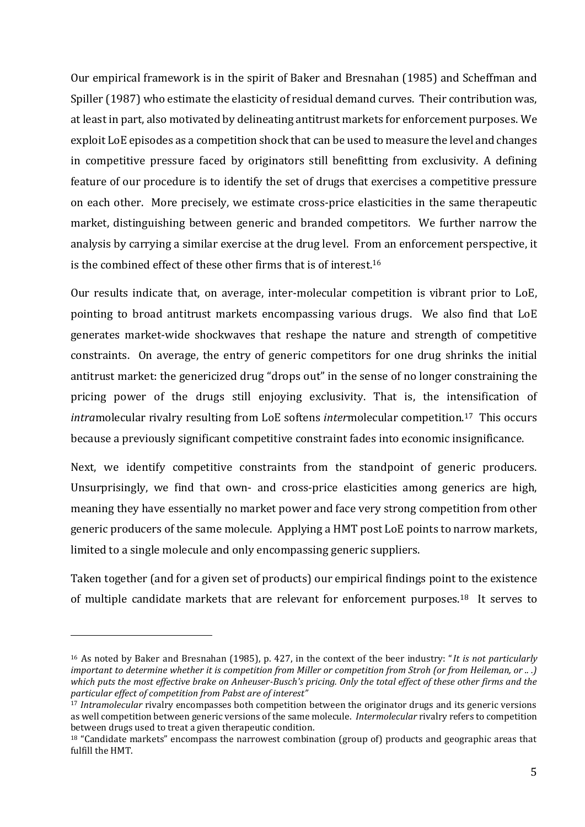Our empirical framework is in the spirit of Baker and Bresnahan (1985) and Scheffman and Spiller (1987) who estimate the elasticity of residual demand curves. Their contribution was, at least in part, also motivated by delineating antitrust markets for enforcement purposes. We exploit LoE episodes as a competition shock that can be used to measure the level and changes in competitive pressure faced by originators still benefitting from exclusivity. A defining feature of our procedure is to identify the set of drugs that exercises a competitive pressure on each other. More precisely, we estimate cross-price elasticities in the same therapeutic market, distinguishing between generic and branded competitors. We further narrow the analysis by carrying a similar exercise at the drug level. From an enforcement perspective, it is the combined effect of these other firms that is of interest.<sup>16</sup>

Our results indicate that, on average, inter-molecular competition is vibrant prior to LoE, pointing to broad antitrust markets encompassing various drugs. We also find that LoE generates market-wide shockwaves that reshape the nature and strength of competitive constraints. On average, the entry of generic competitors for one drug shrinks the initial antitrust market: the genericized drug "drops out" in the sense of no longer constraining the pricing power of the drugs still enjoying exclusivity. That is, the intensification of *intra*molecular rivalry resulting from LoE softens *inter*molecular competition.17 This occurs because a previously significant competitive constraint fades into economic insignificance.

Next, we identify competitive constraints from the standpoint of generic producers. Unsurprisingly, we find that own- and cross-price elasticities among generics are high, meaning they have essentially no market power and face very strong competition from other generic producers of the same molecule. Applying a HMT post LoE points to narrow markets, limited to a single molecule and only encompassing generic suppliers.

Taken together (and for a given set of products) our empirical findings point to the existence of multiple candidate markets that are relevant for enforcement purposes.18 It serves to

<sup>16</sup> As noted by Baker and Bresnahan (1985), p. 427, in the context of the beer industry: "*It is not particularly important to determine whether it is competition from Miller or competition from Stroh (or from Heileman, or .. .) which puts the most effective brake on Anheuser-Busch's pricing. Only the total effect of these other firms and the particular effect of competition from Pabst are of interest"*

<sup>&</sup>lt;sup>17</sup> *Intramolecular* rivalry encompasses both competition between the originator drugs and its generic versions as well competition between generic versions of the same molecule. *Intermolecular* rivalry refers to competition between drugs used to treat a given therapeutic condition.

<sup>18</sup> "Candidate markets" encompass the narrowest combination (group of) products and geographic areas that fulfill the HMT.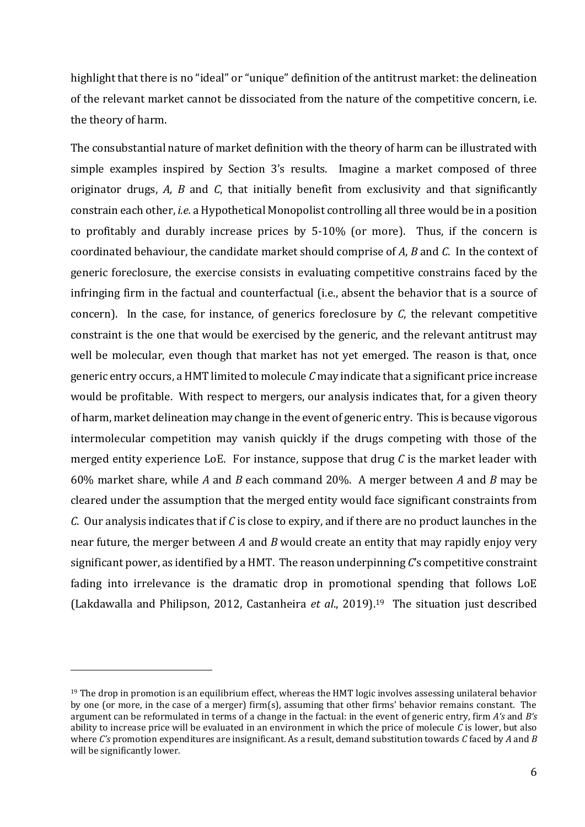highlight that there is no "ideal" or "unique" definition of the antitrust market: the delineation of the relevant market cannot be dissociated from the nature of the competitive concern, i.e. the theory of harm.

The consubstantial nature of market definition with the theory of harm can be illustrated with simple examples inspired by Section 3's results. Imagine a market composed of three originator drugs, *A, B* and *C*, that initially benefit from exclusivity and that significantly constrain each other, *i.e.* a Hypothetical Monopolist controlling all three would be in a position to profitably and durably increase prices by 5-10% (or more). Thus, if the concern is coordinated behaviour, the candidate market should comprise of *A*, *B* and *C*. In the context of generic foreclosure, the exercise consists in evaluating competitive constrains faced by the infringing firm in the factual and counterfactual (i.e., absent the behavior that is a source of concern). In the case, for instance, of generics foreclosure by *C*, the relevant competitive constraint is the one that would be exercised by the generic, and the relevant antitrust may well be molecular, even though that market has not yet emerged. The reason is that, once generic entry occurs, a HMT limited to molecule *C* may indicate that a significant price increase would be profitable. With respect to mergers, our analysis indicates that, for a given theory of harm, market delineation may change in the event of generic entry. This is because vigorous intermolecular competition may vanish quickly if the drugs competing with those of the merged entity experience LoE. For instance, suppose that drug *C* is the market leader with 60% market share, while *A* and *B* each command 20%. A merger between *A* and *B* may be cleared under the assumption that the merged entity would face significant constraints from *C*. Our analysis indicates that if *C* is close to expiry, and if there are no product launches in the near future, the merger between *A* and *B* would create an entity that may rapidly enjoy very significant power, as identified by a HMT. The reason underpinning *C*'s competitive constraint fading into irrelevance is the dramatic drop in promotional spending that follows LoE (Lakdawalla and Philipson, 2012, Castanheira *et al*., 2019). <sup>19</sup> The situation just described

1

<sup>&</sup>lt;sup>19</sup> The drop in promotion is an equilibrium effect, whereas the HMT logic involves assessing unilateral behavior by one (or more, in the case of a merger) firm(s), assuming that other firms' behavior remains constant. The argument can be reformulated in terms of a change in the factual: in the event of generic entry, firm *A's* and *B's* ability to increase price will be evaluated in an environment in which the price of molecule *C* is lower, but also where *C's* promotion expenditures are insignificant. As a result, demand substitution towards *C* faced by *A* and *B* will be significantly lower.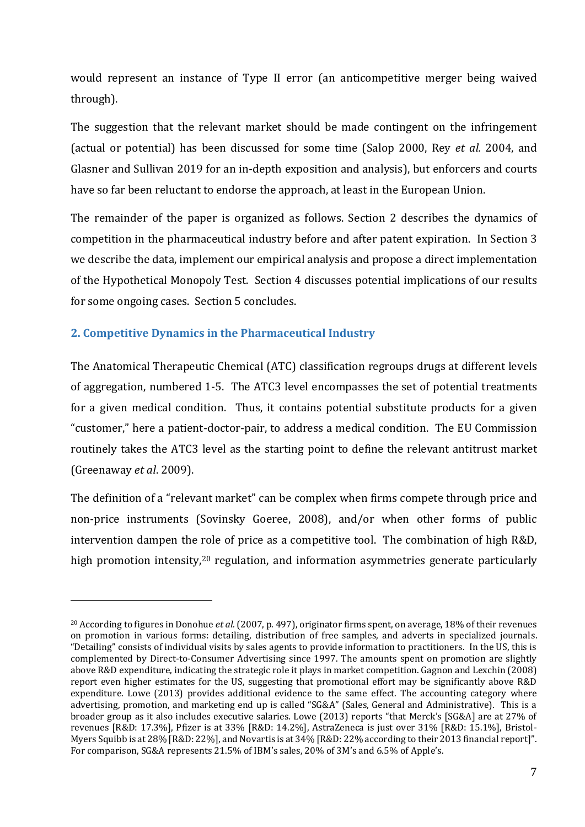would represent an instance of Type II error (an anticompetitive merger being waived through).

The suggestion that the relevant market should be made contingent on the infringement (actual or potential) has been discussed for some time (Salop 2000, Rey *et al.* 2004, and Glasner and Sullivan 2019 for an in-depth exposition and analysis), but enforcers and courts have so far been reluctant to endorse the approach, at least in the European Union.

The remainder of the paper is organized as follows. Section 2 describes the dynamics of competition in the pharmaceutical industry before and after patent expiration. In Section 3 we describe the data, implement our empirical analysis and propose a direct implementation of the Hypothetical Monopoly Test. Section 4 discusses potential implications of our results for some ongoing cases. Section 5 concludes.

# **2. Competitive Dynamics in the Pharmaceutical Industry**

<u>.</u>

The Anatomical Therapeutic Chemical (ATC) classification regroups drugs at different levels of aggregation, numbered 1-5. The ATC3 level encompasses the set of potential treatments for a given medical condition. Thus, it contains potential substitute products for a given "customer," here a patient-doctor-pair, to address a medical condition. The EU Commission routinely takes the ATC3 level as the starting point to define the relevant antitrust market (Greenaway *et al*. 2009).

The definition of a "relevant market" can be complex when firms compete through price and non-price instruments (Sovinsky Goeree, 2008), and/or when other forms of public intervention dampen the role of price as a competitive tool. The combination of high R&D, high promotion intensity,<sup>20</sup> regulation, and information asymmetries generate particularly

<sup>20</sup> According to figures in Donohue *et al.* (2007, p. 497), originator firms spent, on average, 18% of their revenues on promotion in various forms: detailing, distribution of free samples, and adverts in specialized journals. "Detailing" consists of individual visits by sales agents to provide information to practitioners. In the US, this is complemented by Direct-to-Consumer Advertising since 1997. The amounts spent on promotion are slightly above R&D expenditure, indicating the strategic role it plays in market competition. Gagnon and Lexchin (2008) report even higher estimates for the US, suggesting that promotional effort may be significantly above R&D expenditure. Lowe (2013) provides additional evidence to the same effect. The accounting category where advertising, promotion, and marketing end up is called "SG&A" (Sales, General and Administrative). This is a broader group as it also includes executive salaries. Lowe (2013) reports "that Merck's [SG&A] are at 27% of revenues [R&D: 17.3%], Pfizer is at 33% [R&D: 14.2%], AstraZeneca is just over 31% [R&D: 15.1%], Bristol-Myers Squibb is at 28% [R&D: 22%], and Novartis is at 34% [R&D: 22% according to their 2013 financial report]". For comparison, SG&A represents 21.5% of IBM's sales, 20% of 3M's and 6.5% of Apple's.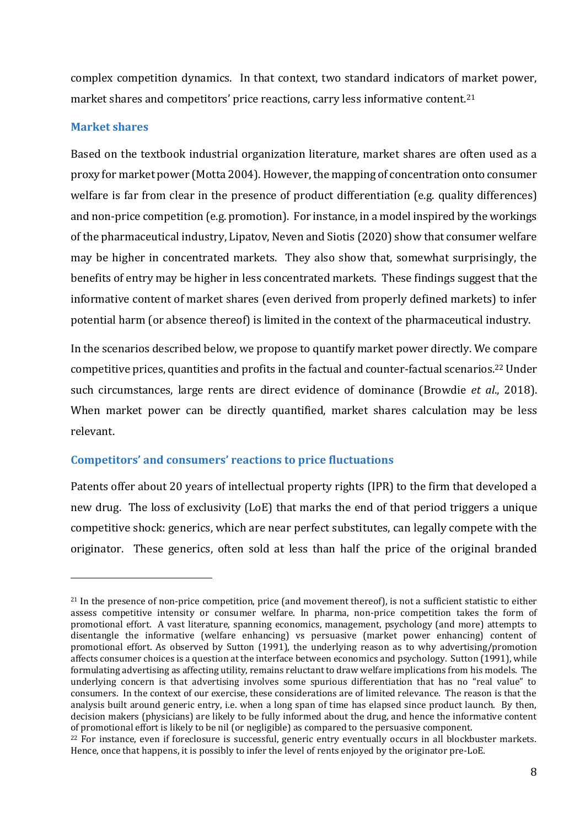complex competition dynamics. In that context, two standard indicators of market power, market shares and competitors' price reactions, carry less informative content.<sup>21</sup>

## **Market shares**

<u>.</u>

Based on the textbook industrial organization literature, market shares are often used as a proxy for market power (Motta 2004). However, the mapping of concentration onto consumer welfare is far from clear in the presence of product differentiation (e.g. quality differences) and non-price competition (e.g. promotion). For instance, in a model inspired by the workings of the pharmaceutical industry, Lipatov, Neven and Siotis (2020) show that consumer welfare may be higher in concentrated markets. They also show that, somewhat surprisingly, the benefits of entry may be higher in less concentrated markets. These findings suggest that the informative content of market shares (even derived from properly defined markets) to infer potential harm (or absence thereof) is limited in the context of the pharmaceutical industry.

In the scenarios described below, we propose to quantify market power directly. We compare competitive prices, quantities and profits in the factual and counter-factual scenarios. <sup>22</sup> Under such circumstances, large rents are direct evidence of dominance (Browdie *et al*., 2018). When market power can be directly quantified, market shares calculation may be less relevant.

# **Competitors' and consumers' reactions to price fluctuations**

Patents offer about 20 years of intellectual property rights (IPR) to the firm that developed a new drug. The loss of exclusivity (LoE) that marks the end of that period triggers a unique competitive shock: generics, which are near perfect substitutes, can legally compete with the originator. These generics, often sold at less than half the price of the original branded

<sup>&</sup>lt;sup>21</sup> In the presence of non-price competition, price (and movement thereof), is not a sufficient statistic to either assess competitive intensity or consumer welfare. In pharma, non-price competition takes the form of promotional effort. A vast literature, spanning economics, management, psychology (and more) attempts to disentangle the informative (welfare enhancing) vs persuasive (market power enhancing) content of promotional effort. As observed by Sutton (1991), the underlying reason as to why advertising/promotion affects consumer choices is a question at the interface between economics and psychology. Sutton (1991), while formulating advertising as affecting utility, remains reluctant to draw welfare implications from his models. The underlying concern is that advertising involves some spurious differentiation that has no "real value" to consumers. In the context of our exercise, these considerations are of limited relevance. The reason is that the analysis built around generic entry, i.e. when a long span of time has elapsed since product launch. By then, decision makers (physicians) are likely to be fully informed about the drug, and hence the informative content of promotional effort is likely to be nil (or negligible) as compared to the persuasive component.

 $22$  For instance, even if foreclosure is successful, generic entry eventually occurs in all blockbuster markets. Hence, once that happens, it is possibly to infer the level of rents enjoyed by the originator pre-LoE.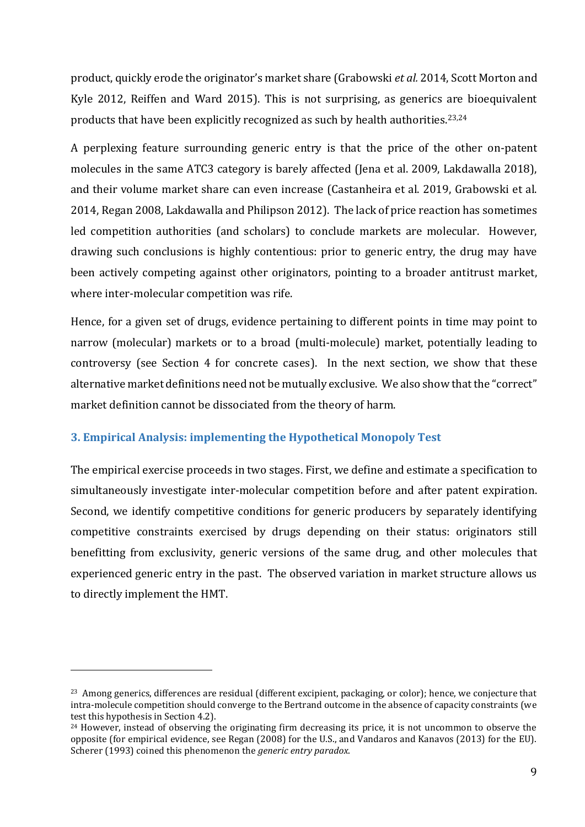product, quickly erode the originator's market share (Grabowski *et al.* 2014, Scott Morton and Kyle 2012, Reiffen and Ward 2015). This is not surprising, as generics are bioequivalent products that have been explicitly recognized as such by health authorities.23,24

A perplexing feature surrounding generic entry is that the price of the other on-patent molecules in the same ATC3 category is barely affected (Jena et al. 2009, Lakdawalla 2018), and their volume market share can even increase (Castanheira et al. 2019, Grabowski et al. 2014, Regan 2008, Lakdawalla and Philipson 2012). The lack of price reaction has sometimes led competition authorities (and scholars) to conclude markets are molecular. However, drawing such conclusions is highly contentious: prior to generic entry, the drug may have been actively competing against other originators, pointing to a broader antitrust market, where inter-molecular competition was rife.

Hence, for a given set of drugs, evidence pertaining to different points in time may point to narrow (molecular) markets or to a broad (multi-molecule) market, potentially leading to controversy (see Section 4 for concrete cases). In the next section, we show that these alternative market definitions need not be mutually exclusive. We also show that the "correct" market definition cannot be dissociated from the theory of harm.

## **3. Empirical Analysis: implementing the Hypothetical Monopoly Test**

1

The empirical exercise proceeds in two stages. First, we define and estimate a specification to simultaneously investigate inter-molecular competition before and after patent expiration. Second, we identify competitive conditions for generic producers by separately identifying competitive constraints exercised by drugs depending on their status: originators still benefitting from exclusivity, generic versions of the same drug, and other molecules that experienced generic entry in the past. The observed variation in market structure allows us to directly implement the HMT.

<sup>&</sup>lt;sup>23</sup> Among generics, differences are residual (different excipient, packaging, or color); hence, we conjecture that intra-molecule competition should converge to the Bertrand outcome in the absence of capacity constraints (we test this hypothesis in Section 4.2).

<sup>24</sup> However, instead of observing the originating firm decreasing its price, it is not uncommon to observe the opposite (for empirical evidence, see Regan (2008) for the U.S., and Vandaros and Kanavos (2013) for the EU). Scherer (1993) coined this phenomenon the *generic entry paradox*.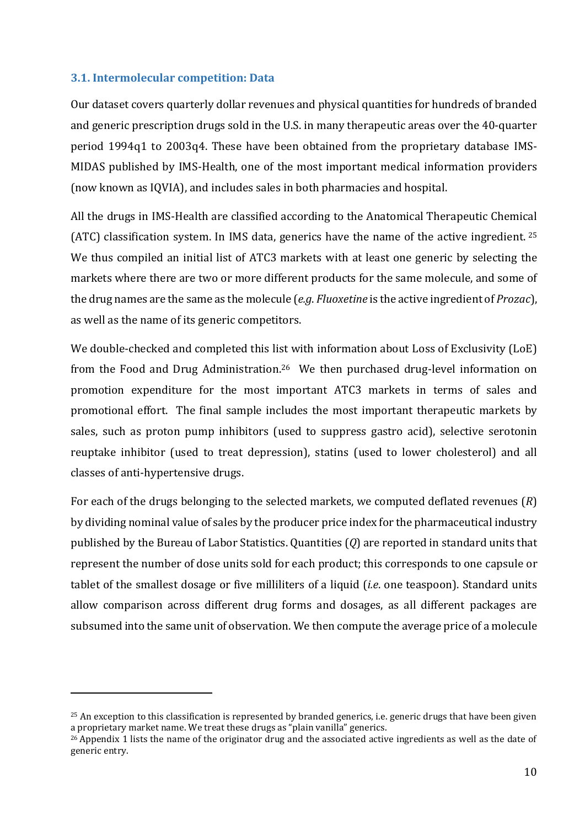## **3.1. Intermolecular competition: Data**

<u>.</u>

Our dataset covers quarterly dollar revenues and physical quantities for hundreds of branded and generic prescription drugs sold in the U.S. in many therapeutic areas over the 40-quarter period 1994q1 to 2003q4. These have been obtained from the proprietary database IMS-MIDAS published by IMS-Health, one of the most important medical information providers (now known as IQVIA), and includes sales in both pharmacies and hospital.

All the drugs in IMS-Health are classified according to the Anatomical Therapeutic Chemical (ATC) classification system. In IMS data, generics have the name of the active ingredient. <sup>25</sup> We thus compiled an initial list of ATC3 markets with at least one generic by selecting the markets where there are two or more different products for the same molecule, and some of the drug names are the same as the molecule (*e.g*. *Fluoxetine* is the active ingredient of *Prozac*), as well as the name of its generic competitors.

We double-checked and completed this list with information about Loss of Exclusivity (LoE) from the Food and Drug Administration.<sup>26</sup> We then purchased drug-level information on promotion expenditure for the most important ATC3 markets in terms of sales and promotional effort. The final sample includes the most important therapeutic markets by sales, such as proton pump inhibitors (used to suppress gastro acid), selective serotonin reuptake inhibitor (used to treat depression), statins (used to lower cholesterol) and all classes of anti-hypertensive drugs.

For each of the drugs belonging to the selected markets, we computed deflated revenues (*R*) by dividing nominal value of sales by the producer price index for the pharmaceutical industry published by the Bureau of Labor Statistics. Quantities (*Q*) are reported in standard units that represent the number of dose units sold for each product; this corresponds to one capsule or tablet of the smallest dosage or five milliliters of a liquid (*i.e*. one teaspoon). Standard units allow comparison across different drug forms and dosages, as all different packages are subsumed into the same unit of observation. We then compute the average price of a molecule

<sup>&</sup>lt;sup>25</sup> An exception to this classification is represented by branded generics, *i.e.* generic drugs that have been given a proprietary market name. We treat these drugs as "plain vanilla" generics.

 $^{26}$  Appendix 1 lists the name of the originator drug and the associated active ingredients as well as the date of generic entry.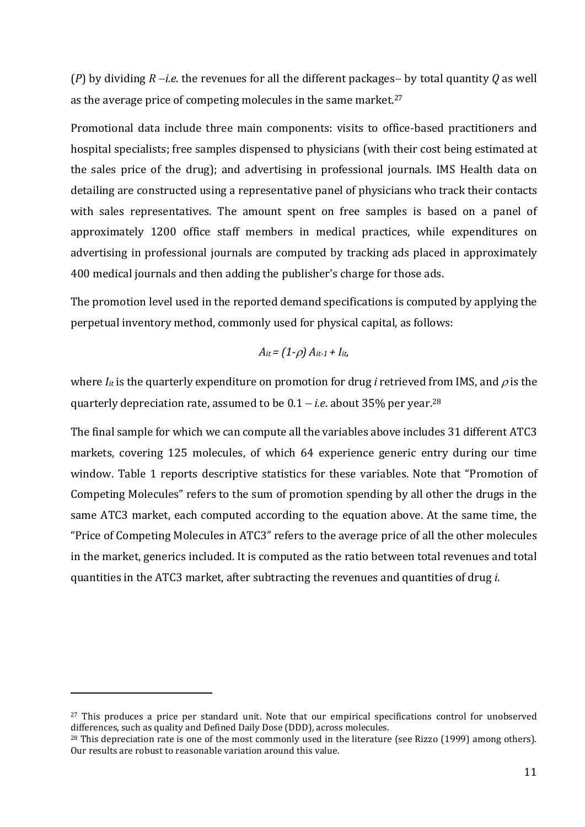(*P*) by dividing *R* −*i.e*. the revenues for all the different packages− by total quantity *Q* as well as the average price of competing molecules in the same market.<sup>27</sup>

Promotional data include three main components: visits to office-based practitioners and hospital specialists; free samples dispensed to physicians (with their cost being estimated at the sales price of the drug); and advertising in professional journals. IMS Health data on detailing are constructed using a representative panel of physicians who track their contacts with sales representatives. The amount spent on free samples is based on a panel of approximately 1200 office staff members in medical practices, while expenditures on advertising in professional journals are computed by tracking ads placed in approximately 400 medical journals and then adding the publisher's charge for those ads.

The promotion level used in the reported demand specifications is computed by applying the perpetual inventory method, commonly used for physical capital, as follows:

$$
A_{it} = (1-\rho) A_{it-1} + I_{it},
$$

where  $I_{it}$  is the quarterly expenditure on promotion for drug *i* retrieved from IMS, and  $\rho$  is the quarterly depreciation rate, assumed to be 0.1 − *i.e*. about 35% per year.<sup>28</sup>

The final sample for which we can compute all the variables above includes 31 different ATC3 markets, covering 125 molecules, of which 64 experience generic entry during our time window. Table 1 reports descriptive statistics for these variables. Note that "Promotion of Competing Molecules" refers to the sum of promotion spending by all other the drugs in the same ATC3 market, each computed according to the equation above. At the same time, the "Price of Competing Molecules in ATC3" refers to the average price of all the other molecules in the market, generics included. It is computed as the ratio between total revenues and total quantities in the ATC3 market, after subtracting the revenues and quantities of drug *i*.

<sup>&</sup>lt;sup>27</sup> This produces a price per standard unit. Note that our empirical specifications control for unobserved differences, such as quality and Defined Daily Dose (DDD), across molecules.

<sup>&</sup>lt;sup>28</sup> This depreciation rate is one of the most commonly used in the literature (see Rizzo (1999) among others). Our results are robust to reasonable variation around this value.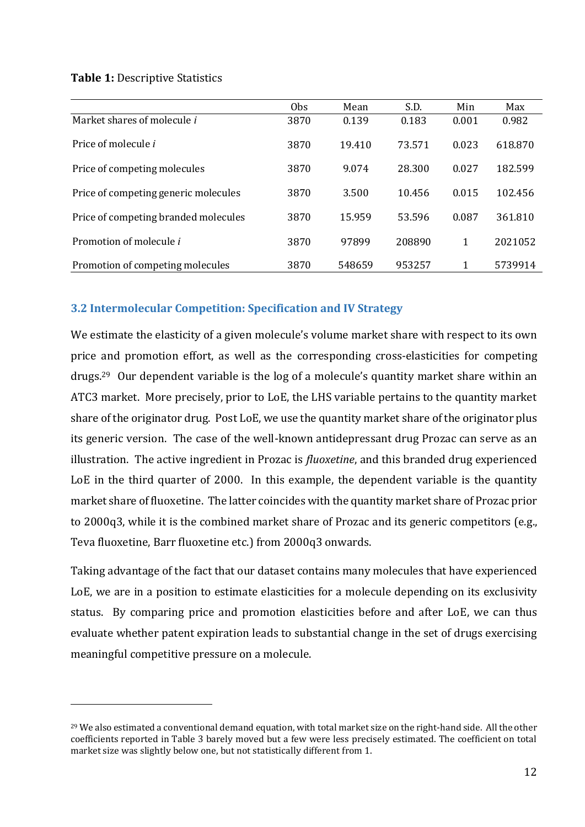#### **Table 1:** Descriptive Statistics

<u>.</u>

|                                      | 0 <sub>bs</sub> | Mean   | S.D.   | Min   | Max     |
|--------------------------------------|-----------------|--------|--------|-------|---------|
| Market shares of molecule <i>i</i>   | 3870            | 0.139  | 0.183  | 0.001 | 0.982   |
| Price of molecule <i>i</i>           | 3870            | 19.410 | 73.571 | 0.023 | 618.870 |
| Price of competing molecules         | 3870            | 9.074  | 28.300 | 0.027 | 182.599 |
| Price of competing generic molecules | 3870            | 3.500  | 10.456 | 0.015 | 102.456 |
| Price of competing branded molecules | 3870            | 15.959 | 53.596 | 0.087 | 361.810 |
| Promotion of molecule i              | 3870            | 97899  | 208890 | 1     | 2021052 |
| Promotion of competing molecules     | 3870            | 548659 | 953257 | 1     | 5739914 |

## **3.2 Intermolecular Competition: Specification and IV Strategy**

We estimate the elasticity of a given molecule's volume market share with respect to its own price and promotion effort, as well as the corresponding cross-elasticities for competing drugs.<sup>29</sup> Our dependent variable is the log of a molecule's quantity market share within an ATC3 market. More precisely, prior to LoE, the LHS variable pertains to the quantity market share of the originator drug. Post LoE, we use the quantity market share of the originator plus its generic version. The case of the well-known antidepressant drug Prozac can serve as an illustration. The active ingredient in Prozac is *fluoxetine*, and this branded drug experienced LoE in the third quarter of 2000. In this example, the dependent variable is the quantity market share of fluoxetine. The latter coincides with the quantity market share of Prozac prior to 2000q3, while it is the combined market share of Prozac and its generic competitors (e.g., Teva fluoxetine, Barr fluoxetine etc.) from 2000q3 onwards.

Taking advantage of the fact that our dataset contains many molecules that have experienced LoE, we are in a position to estimate elasticities for a molecule depending on its exclusivity status. By comparing price and promotion elasticities before and after LoE, we can thus evaluate whether patent expiration leads to substantial change in the set of drugs exercising meaningful competitive pressure on a molecule.

 $29$  We also estimated a conventional demand equation, with total market size on the right-hand side. All the other coefficients reported in Table 3 barely moved but a few were less precisely estimated. The coefficient on total market size was slightly below one, but not statistically different from 1.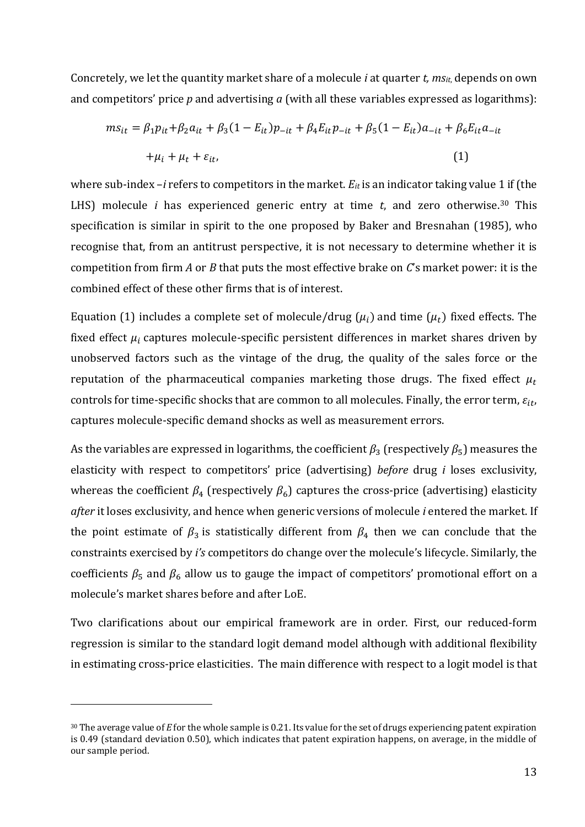Concretely, we let the quantity market share of a molecule *i* at quarter *t, msit*, depends on own and competitors' price *p* and advertising *a* (with all these variables expressed as logarithms):

$$
m s_{it} = \beta_1 p_{it} + \beta_2 a_{it} + \beta_3 (1 - E_{it}) p_{-it} + \beta_4 E_{it} p_{-it} + \beta_5 (1 - E_{it}) a_{-it} + \beta_6 E_{it} a_{-it}
$$
  
+  $\mu_i + \mu_t + \varepsilon_{it}$ , (1)

where sub-index –*i* refers to competitors in the market. *Eit* is an indicator taking value 1 if (the LHS) molecule *i* has experienced generic entry at time *t*, and zero otherwise.<sup>30</sup> This specification is similar in spirit to the one proposed by Baker and Bresnahan (1985), who recognise that, from an antitrust perspective, it is not necessary to determine whether it is competition from firm *A* or *B* that puts the most effective brake on *C*'s market power: it is the combined effect of these other firms that is of interest.

Equation (1) includes a complete set of molecule/drug ( $\mu_i$ ) and time ( $\mu_t$ ) fixed effects. The fixed effect  $\mu_i$  captures molecule-specific persistent differences in market shares driven by unobserved factors such as the vintage of the drug, the quality of the sales force or the reputation of the pharmaceutical companies marketing those drugs. The fixed effect  $\mu_t$ controls for time-specific shocks that are common to all molecules. Finally, the error term,  $\varepsilon_{it}$ , captures molecule-specific demand shocks as well as measurement errors.

As the variables are expressed in logarithms, the coefficient  $\beta_3$  (respectively  $\beta_5$ ) measures the elasticity with respect to competitors' price (advertising) *before* drug *i* loses exclusivity, whereas the coefficient  $\beta_4$  (respectively  $\beta_6$ ) captures the cross-price (advertising) elasticity *after* it loses exclusivity, and hence when generic versions of molecule *i* entered the market. If the point estimate of  $\beta_3$  is statistically different from  $\beta_4$  then we can conclude that the constraints exercised by *i's* competitors do change over the molecule's lifecycle. Similarly, the coefficients  $\beta_5$  and  $\beta_6$  allow us to gauge the impact of competitors' promotional effort on a molecule's market shares before and after LoE.

Two clarifications about our empirical framework are in order. First, our reduced-form regression is similar to the standard logit demand model although with additional flexibility in estimating cross-price elasticities. The main difference with respect to a logit model is that

<sup>30</sup> The average value of *E* for the whole sample is 0.21. Its value for the set of drugs experiencing patent expiration is 0.49 (standard deviation 0.50), which indicates that patent expiration happens, on average, in the middle of our sample period.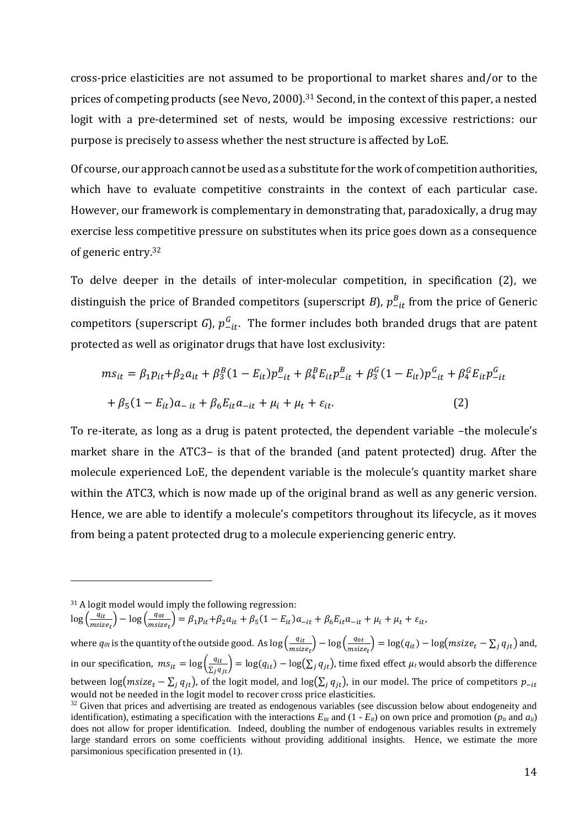cross-price elasticities are not assumed to be proportional to market shares and/or to the prices of competing products (see Nevo, 2000). <sup>31</sup> Second, in the context of this paper, a nested logit with a pre-determined set of nests, would be imposing excessive restrictions: our purpose is precisely to assess whether the nest structure is affected by LoE.

Of course, our approach cannot be used as a substitute for the work of competition authorities, which have to evaluate competitive constraints in the context of each particular case. However, our framework is complementary in demonstrating that, paradoxically, a drug may exercise less competitive pressure on substitutes when its price goes down as a consequence of generic entry. 32

To delve deeper in the details of inter-molecular competition, in specification (2), we distinguish the price of Branded competitors (superscript *B*),  $p_{-it}^B$  from the price of Generic competitors (superscript *G*),  $p_{-it}^G$ . The former includes both branded drugs that are patent protected as well as originator drugs that have lost exclusivity:

$$
m s_{it} = \beta_1 p_{it} + \beta_2 a_{it} + \beta_3^B (1 - E_{it}) p_{-it}^B + \beta_4^B E_{it} p_{-it}^B + \beta_3^C (1 - E_{it}) p_{-it}^G + \beta_4^C E_{it} p_{-it}^G
$$
  
+  $\beta_5 (1 - E_{it}) a_{-it} + \beta_6 E_{it} a_{-it} + \mu_i + \mu_t + \varepsilon_{it}$ . (2)

To re-iterate, as long as a drug is patent protected, the dependent variable –the molecule's market share in the ATC3– is that of the branded (and patent protected) drug. After the molecule experienced LoE, the dependent variable is the molecule's quantity market share within the ATC3, which is now made up of the original brand as well as any generic version. Hence, we are able to identify a molecule's competitors throughout its lifecycle, as it moves from being a patent protected drug to a molecule experiencing generic entry.

<u>.</u>

 $\log \left( \frac{q_{it}}{q_{it}} \right)$  $\frac{q_{it}}{msize_t}\bigg) - \log \left( \frac{q_{0t}}{msize} \right)$  $\frac{q_{0t}}{m \text{size}_{t}}$  =  $\beta_1 p_{it} + \beta_2 a_{it} + \beta_5 (1 - E_{it}) a_{-it} + \beta_6 E_{it} a_{-it} + \mu_i + \mu_t + \varepsilon_{it},$ 

where  $q_{\theta t}$  is the quantity of the outside good. As  $\log\left(\frac{q_{tt}}{q_{t}}\right)$  $\left(\frac{q_{it}}{msize_t}\right) - \log \left(\frac{q_{0it}}{msize}\right)$  $\frac{q_{0t}}{m \text{size}_{t}}$  = log( $q_{it}$ ) – log( $msize_t - \sum_j q_{jt}$ ) and, in our specification,  $ms_{it} = \log\left(\frac{q_{it}}{\sum_j q_{jt}}\right) = \log(q_{it}) - \log(\sum_j q_{jt})$ , time fixed effect  $\mu_t$  would absorb the difference between log( $msize_t - \sum_i q_{it}$ ), of the logit model, and log( $\sum_i q_{it}$ ), in our model. The price of competitors  $p_{-it}$ would not be needed in the logit model to recover cross price elasticities.

<sup>31</sup> A logit model would imply the following regression:

 $32$  Given that prices and advertising are treated as endogenous variables (see discussion below about endogeneity and identification), estimating a specification with the interactions  $E_{it}$  and  $(1 - E_{it})$  on own price and promotion ( $p_{it}$  and  $a_{it}$ ) does not allow for proper identification. Indeed, doubling the number of endogenous variables results in extremely large standard errors on some coefficients without providing additional insights. Hence, we estimate the more parsimonious specification presented in (1).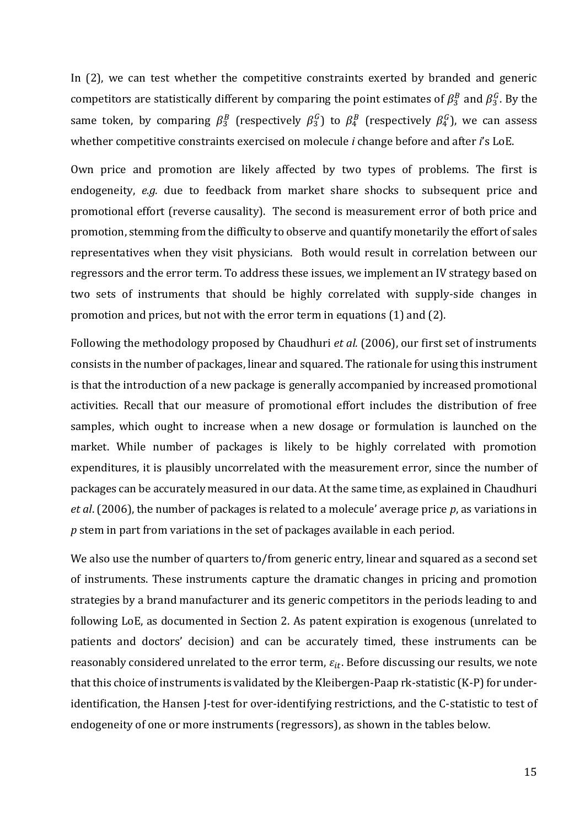In (2), we can test whether the competitive constraints exerted by branded and generic competitors are statistically different by comparing the point estimates of  $\beta_3^B$  and  $\beta_3^G$ . By the same token, by comparing  $\beta_3^B$  (respectively  $\beta_3^G$ ) to  $\beta_4^B$  (respectively  $\beta_4^G$ ), we can assess whether competitive constraints exercised on molecule *i* change before and after *i*'s LoE.

Own price and promotion are likely affected by two types of problems. The first is endogeneity, *e.g.* due to feedback from market share shocks to subsequent price and promotional effort (reverse causality). The second is measurement error of both price and promotion, stemming from the difficulty to observe and quantify monetarily the effort of sales representatives when they visit physicians. Both would result in correlation between our regressors and the error term. To address these issues, we implement an IV strategy based on two sets of instruments that should be highly correlated with supply-side changes in promotion and prices, but not with the error term in equations (1) and (2).

Following the methodology proposed by Chaudhuri *et al.* (2006), our first set of instruments consists in the number of packages, linear and squared. The rationale for using this instrument is that the introduction of a new package is generally accompanied by increased promotional activities. Recall that our measure of promotional effort includes the distribution of free samples, which ought to increase when a new dosage or formulation is launched on the market. While number of packages is likely to be highly correlated with promotion expenditures, it is plausibly uncorrelated with the measurement error, since the number of packages can be accurately measured in our data. At the same time, as explained in Chaudhuri *et al*. (2006), the number of packages is related to a molecule' average price *p*, as variations in *p* stem in part from variations in the set of packages available in each period.

We also use the number of quarters to/from generic entry, linear and squared as a second set of instruments. These instruments capture the dramatic changes in pricing and promotion strategies by a brand manufacturer and its generic competitors in the periods leading to and following LoE, as documented in Section 2. As patent expiration is exogenous (unrelated to patients and doctors' decision) and can be accurately timed, these instruments can be reasonably considered unrelated to the error term,  $\varepsilon_{it}$ . Before discussing our results, we note that this choice of instruments is validated by the Kleibergen-Paap rk-statistic (K-P) for underidentification, the Hansen J-test for over-identifying restrictions, and the C-statistic to test of endogeneity of one or more instruments (regressors), as shown in the tables below.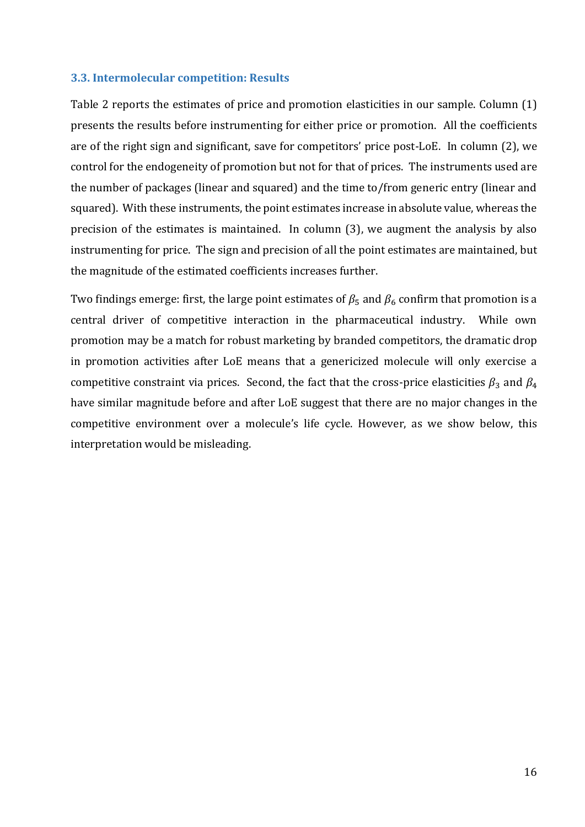## **3.3. Intermolecular competition: Results**

Table 2 reports the estimates of price and promotion elasticities in our sample. Column (1) presents the results before instrumenting for either price or promotion. All the coefficients are of the right sign and significant, save for competitors' price post-LoE. In column (2), we control for the endogeneity of promotion but not for that of prices. The instruments used are the number of packages (linear and squared) and the time to/from generic entry (linear and squared). With these instruments, the point estimates increase in absolute value, whereas the precision of the estimates is maintained. In column (3), we augment the analysis by also instrumenting for price. The sign and precision of all the point estimates are maintained, but the magnitude of the estimated coefficients increases further.

Two findings emerge: first, the large point estimates of  $\beta_5$  and  $\beta_6$  confirm that promotion is a central driver of competitive interaction in the pharmaceutical industry. While own promotion may be a match for robust marketing by branded competitors, the dramatic drop in promotion activities after LoE means that a genericized molecule will only exercise a competitive constraint via prices. Second, the fact that the cross-price elasticities  $\beta_3$  and  $\beta_4$ have similar magnitude before and after LoE suggest that there are no major changes in the competitive environment over a molecule's life cycle. However, as we show below, this interpretation would be misleading.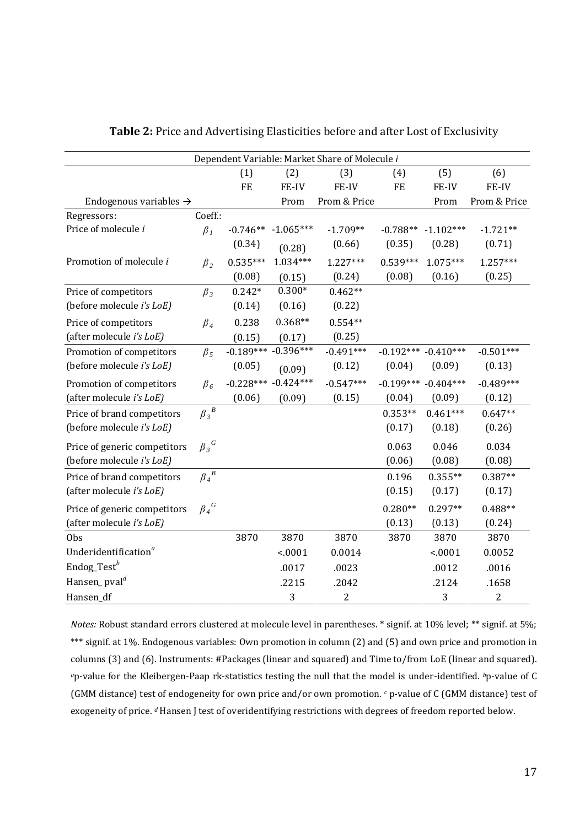| Dependent Variable: Market Share of Molecule i |                 |             |                         |                |                         |                         |                |
|------------------------------------------------|-----------------|-------------|-------------------------|----------------|-------------------------|-------------------------|----------------|
|                                                |                 | (1)         | (2)                     | (3)            | (4)                     | (5)                     | (6)            |
|                                                |                 | <b>FE</b>   | FE-IV                   | FE-IV          | FE                      | FE-IV                   | FE-IV          |
| Endogenous variables $\rightarrow$             |                 |             | Prom                    | Prom & Price   |                         | Prom                    | Prom & Price   |
| Regressors:                                    | Coeff.:         |             |                         |                |                         |                         |                |
| Price of molecule i                            | $\beta_I$       | $-0.746**$  | $-1.065***$             | $-1.709**$     | $-0.788**$              | $-1.102***$             | $-1.721**$     |
|                                                |                 | (0.34)      | (0.28)                  | (0.66)         | (0.35)                  | (0.28)                  | (0.71)         |
| Promotion of molecule i                        | $\beta_2$       | $0.535***$  | $1.034***$              | $1.227***$     | $0.539***$              | $1.075***$              | $1.257***$     |
|                                                |                 | (0.08)      | (0.15)                  | (0.24)         | (0.08)                  | (0.16)                  | (0.25)         |
| Price of competitors                           | $\beta_3$       | $0.242*$    | $0.300*$                | $0.462**$      |                         |                         |                |
| (before molecule <i>i's LoE</i> )              |                 | (0.14)      | (0.16)                  | (0.22)         |                         |                         |                |
| Price of competitors                           | $\beta_4$       | 0.238       | $0.368**$               | $0.554**$      |                         |                         |                |
| (after molecule i's LoE)                       |                 | (0.15)      | (0.17)                  | (0.25)         |                         |                         |                |
| Promotion of competitors                       | $\beta_5$       | $-0.189***$ | $-0.396***$             | $-0.491***$    |                         | $-0.192***$ $-0.410***$ | $-0.501***$    |
| (before molecule i's LoE)                      |                 | (0.05)      | (0.09)                  | (0.12)         | (0.04)                  | (0.09)                  | (0.13)         |
| Promotion of competitors                       | $\beta_6$       |             | $-0.228***$ $-0.424***$ | $-0.547***$    | $-0.199***$ $-0.404***$ |                         | $-0.489***$    |
| (after molecule i's LoE)                       |                 | (0.06)      | (0.09)                  | (0.15)         | (0.04)                  | (0.09)                  | (0.12)         |
| Price of brand competitors                     | $\beta_3^{\ B}$ |             |                         |                | $0.353**$               | $0.461***$              | $0.647**$      |
| (before molecule <i>i's LoE</i> )              |                 |             |                         |                | (0.17)                  | (0.18)                  | (0.26)         |
| Price of generic competitors                   | $\beta_3^G$     |             |                         |                | 0.063                   | 0.046                   | 0.034          |
| (before molecule <i>i's LoE</i> )              |                 |             |                         |                | (0.06)                  | (0.08)                  | (0.08)         |
| Price of brand competitors                     | $\beta_4^{\ B}$ |             |                         |                | 0.196                   | $0.355**$               | $0.387**$      |
| (after molecule i's LoE)                       |                 |             |                         |                | (0.15)                  | (0.17)                  | (0.17)         |
| Price of generic competitors                   | $\beta_4^G$     |             |                         |                | $0.280**$               | $0.297**$               | $0.488**$      |
| (after molecule i's LoE)                       |                 |             |                         |                | (0.13)                  | (0.13)                  | (0.24)         |
| <b>Obs</b>                                     |                 | 3870        | 3870                    | 3870           | 3870                    | 3870                    | 3870           |
| Underidentification <sup>a</sup>               |                 |             | < 0001                  | 0.0014         |                         | < .0001                 | 0.0052         |
| Endog_Test <sup>b</sup>                        |                 |             | .0017                   | .0023          |                         | .0012                   | .0016          |
| Hansen_pval <sup>d</sup>                       |                 |             | .2215                   | .2042          |                         | .2124                   | .1658          |
| Hansen_df                                      |                 |             | 3                       | $\overline{c}$ |                         | 3                       | $\overline{2}$ |

**Table 2:** Price and Advertising Elasticities before and after Lost of Exclusivity

*Notes:* Robust standard errors clustered at molecule level in parentheses. \* signif. at 10% level; \*\* signif. at 5%; \*\*\* signif. at 1%. Endogenous variables: Own promotion in column (2) and (5) and own price and promotion in columns (3) and (6). Instruments: #Packages (linear and squared) and Time to/from LoE (linear and squared). *<sup>a</sup>*p-value for the Kleibergen-Paap rk-statistics testing the null that the model is under-identified. *b*p-value of C (GMM distance) test of endogeneity for own price and/or own promotion. *<sup>c</sup>* p-value of C (GMM distance) test of exogeneity of price. *<sup>d</sup>* Hansen J test of overidentifying restrictions with degrees of freedom reported below.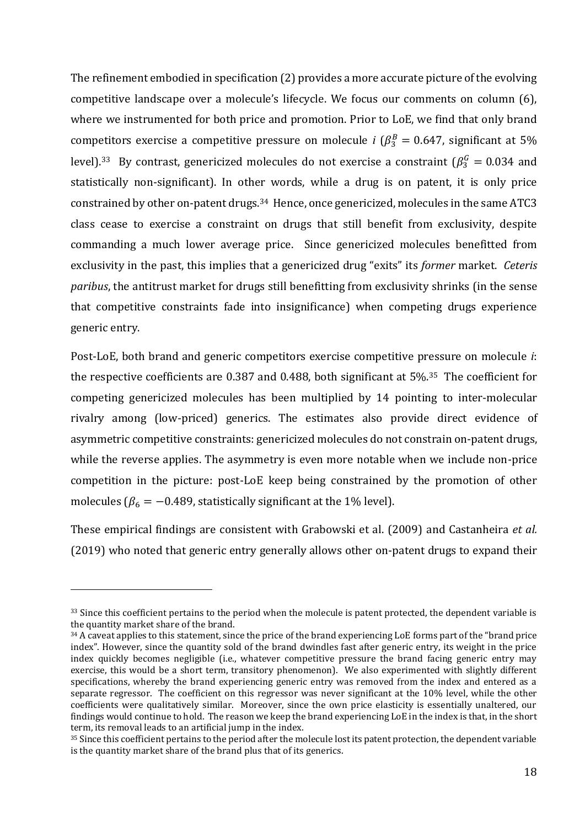The refinement embodied in specification (2) provides a more accurate picture of the evolving competitive landscape over a molecule's lifecycle. We focus our comments on column (6), where we instrumented for both price and promotion. Prior to LoE, we find that only brand competitors exercise a competitive pressure on molecule *i* ( $\beta_3^B = 0.647$ , significant at 5% level).<sup>33</sup> By contrast, genericized molecules do not exercise a constraint ( $\beta_3^G = 0.034$  and statistically non-significant). In other words, while a drug is on patent, it is only price constrained by other on-patent drugs.<sup>34</sup> Hence, once genericized, molecules in the same ATC3 class cease to exercise a constraint on drugs that still benefit from exclusivity, despite commanding a much lower average price. Since genericized molecules benefitted from exclusivity in the past, this implies that a genericized drug "exits" its *former* market. *Ceteris paribus*, the antitrust market for drugs still benefitting from exclusivity shrinks (in the sense that competitive constraints fade into insignificance) when competing drugs experience generic entry.

Post-LoE, both brand and generic competitors exercise competitive pressure on molecule *i*: the respective coefficients are 0.387 and 0.488, both significant at 5%. <sup>35</sup> The coefficient for competing genericized molecules has been multiplied by 14 pointing to inter-molecular rivalry among (low-priced) generics. The estimates also provide direct evidence of asymmetric competitive constraints: genericized molecules do not constrain on-patent drugs, while the reverse applies. The asymmetry is even more notable when we include non-price competition in the picture: post-LoE keep being constrained by the promotion of other molecules ( $\beta_6 = -0.489$ , statistically significant at the 1% level).

These empirical findings are consistent with Grabowski et al. (2009) and Castanheira *et al.* (2019) who noted that generic entry generally allows other on-patent drugs to expand their

<sup>&</sup>lt;sup>33</sup> Since this coefficient pertains to the period when the molecule is patent protected, the dependent variable is the quantity market share of the brand.

<sup>34</sup> A caveat applies to this statement, since the price of the brand experiencing LoE forms part of the "brand price index". However, since the quantity sold of the brand dwindles fast after generic entry, its weight in the price index quickly becomes negligible (i.e., whatever competitive pressure the brand facing generic entry may exercise, this would be a short term, transitory phenomenon). We also experimented with slightly different specifications, whereby the brand experiencing generic entry was removed from the index and entered as a separate regressor. The coefficient on this regressor was never significant at the 10% level, while the other coefficients were qualitatively similar. Moreover, since the own price elasticity is essentially unaltered, our findings would continue to hold. The reason we keep the brand experiencing LoE in the index is that, in the short term, its removal leads to an artificial jump in the index.

 $35$  Since this coefficient pertains to the period after the molecule lost its patent protection, the dependent variable is the quantity market share of the brand plus that of its generics.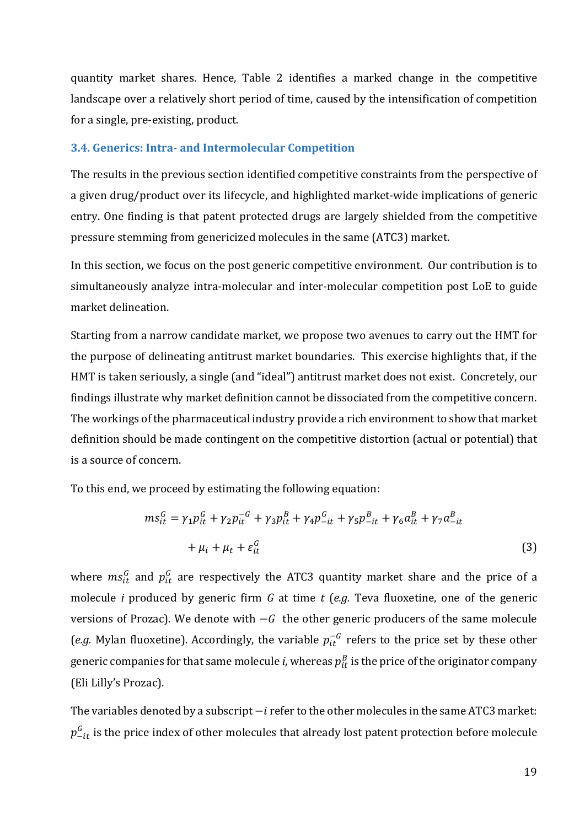quantity market shares. Hence, Table 2 identifies a marked change in the competitive landscape over a relatively short period of time, caused by the intensification of competition for a single, pre-existing, product.

## **3.4. Generics: Intra- and Intermolecular Competition**

The results in the previous section identified competitive constraints from the perspective of a given drug/product over its lifecycle, and highlighted market-wide implications of generic entry. One finding is that patent protected drugs are largely shielded from the competitive pressure stemming from genericized molecules in the same (ATC3) market.

In this section, we focus on the post generic competitive environment. Our contribution is to simultaneously analyze intra-molecular and inter-molecular competition post LoE to guide market delineation.

Starting from a narrow candidate market, we propose two avenues to carry out the HMT for the purpose of delineating antitrust market boundaries. This exercise highlights that, if the HMT is taken seriously, a single (and "ideal") antitrust market does not exist. Concretely, our findings illustrate why market definition cannot be dissociated from the competitive concern. The workings of the pharmaceutical industry provide a rich environment to show that market definition should be made contingent on the competitive distortion (actual or potential) that is a source of concern.

To this end, we proceed by estimating the following equation:

$$
ms_{it}^G = \gamma_1 p_{it}^G + \gamma_2 p_{it}^{-G} + \gamma_3 p_{it}^B + \gamma_4 p_{-it}^G + \gamma_5 p_{-it}^B + \gamma_6 a_{it}^B + \gamma_7 a_{-it}^B
$$
  
+  $\mu_i + \mu_t + \varepsilon_{it}^G$  (3)

where  $ms_{it}^G$  and  $p_{it}^G$  are respectively the ATC3 quantity market share and the price of a molecule *i* produced by generic firm *G* at time *t* (*e.g.* Teva fluoxetine, one of the generic versions of Prozac). We denote with  $-G$  the other generic producers of the same molecule (*e.g.* Mylan fluoxetine). Accordingly, the variable  $p_{it}^{-G}$  refers to the price set by these other generic companies for that same molecule *i,* whereas  $p_{it}^{\mathit{B}}$  is the price of the originator company (Eli Lilly's Prozac).

The variables denoted by a subscript –i refer to the other molecules in the same ATC3 market:  $p_{-it}^{\mathcal{G}}$  is the price index of other molecules that already lost patent protection before molecule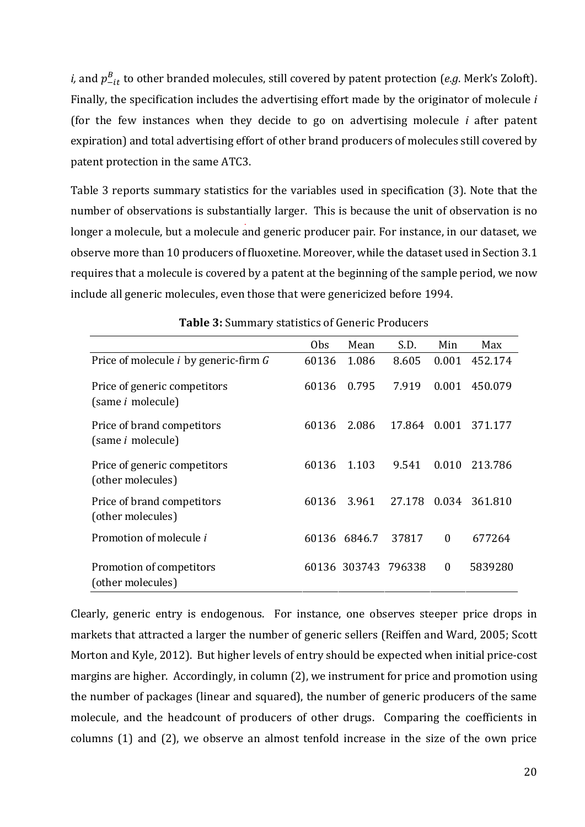*i,* and  $p_{-it}^B$  to other branded molecules, still covered by patent protection (*e.g*. Merk's Zoloft). Finally, the specification includes the advertising effort made by the originator of molecule *i* (for the few instances when they decide to go on advertising molecule *i* after patent expiration) and total advertising effort of other brand producers of molecules still covered by patent protection in the same ATC3.

Table 3 reports summary statistics for the variables used in specification (3). Note that the number of observations is substantially larger. This is because the unit of observation is no longer a molecule, but a molecule and generic producer pair. For instance, in our dataset, we observe more than 10 producers of fluoxetine. Moreover, while the dataset used in Section 3.1 requires that a molecule is covered by a patent at the beginning of the sample period, we now include all generic molecules, even those that were genericized before 1994.

|                                                          | 0 <sub>bs</sub> | Mean                | S.D.   | Min          | Max     |
|----------------------------------------------------------|-----------------|---------------------|--------|--------------|---------|
| Price of molecule <i>i</i> by generic-firm G             | 60136           | 1.086               | 8.605  | 0.001        | 452.174 |
| Price of generic competitors<br>(same <i>i</i> molecule) | 60136           | 0.795               | 7.919  | 0.001        | 450.079 |
| Price of brand competitors<br>(same <i>i</i> molecule)   | 60136           | 2.086               | 17.864 | 0.001        | 371.177 |
| Price of generic competitors<br>(other molecules)        | 60136           | 1.103               | 9.541  | 0.010        | 213.786 |
| Price of brand competitors<br>(other molecules)          | 60136           | 3.961               | 27.178 | 0.034        | 361.810 |
| Promotion of molecule i                                  | 60136           | 6846.7              | 37817  | $\theta$     | 677264  |
| Promotion of competitors<br>(other molecules)            |                 | 60136 303743 796338 |        | $\mathbf{0}$ | 5839280 |

**Table 3:** Summary statistics of Generic Producers

Clearly, generic entry is endogenous. For instance, one observes steeper price drops in markets that attracted a larger the number of generic sellers (Reiffen and Ward, 2005; Scott Morton and Kyle, 2012). But higher levels of entry should be expected when initial price-cost margins are higher. Accordingly, in column (2), we instrument for price and promotion using the number of packages (linear and squared), the number of generic producers of the same molecule, and the headcount of producers of other drugs. Comparing the coefficients in columns (1) and (2), we observe an almost tenfold increase in the size of the own price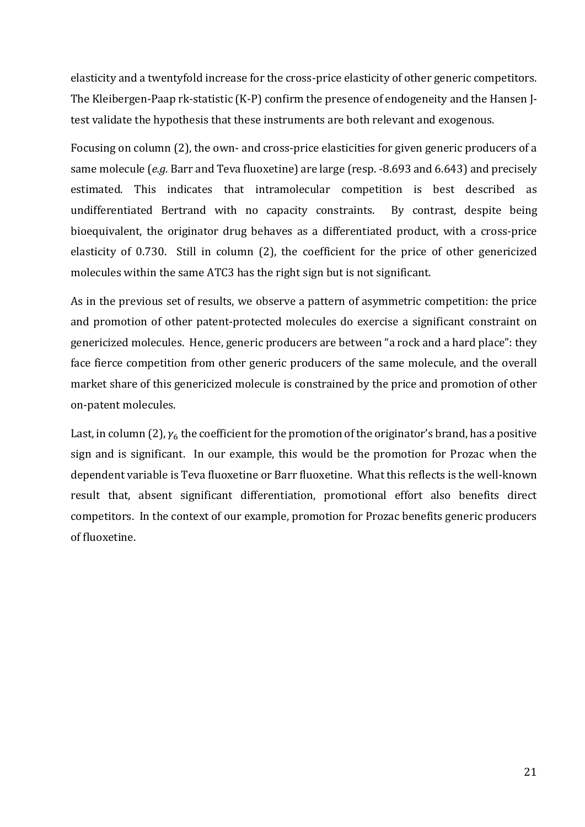elasticity and a twentyfold increase for the cross-price elasticity of other generic competitors. The Kleibergen-Paap rk-statistic (K-P) confirm the presence of endogeneity and the Hansen Jtest validate the hypothesis that these instruments are both relevant and exogenous.

Focusing on column (2), the own- and cross-price elasticities for given generic producers of a same molecule (*e.g.* Barr and Teva fluoxetine) are large (resp. -8.693 and 6.643) and precisely estimated. This indicates that intramolecular competition is best described as undifferentiated Bertrand with no capacity constraints. By contrast, despite being bioequivalent, the originator drug behaves as a differentiated product, with a cross-price elasticity of 0.730. Still in column (2), the coefficient for the price of other genericized molecules within the same ATC3 has the right sign but is not significant.

As in the previous set of results, we observe a pattern of asymmetric competition: the price and promotion of other patent-protected molecules do exercise a significant constraint on genericized molecules. Hence, generic producers are between "a rock and a hard place": they face fierce competition from other generic producers of the same molecule, and the overall market share of this genericized molecule is constrained by the price and promotion of other on-patent molecules.

Last, in column (2),  $\gamma_6$  the coefficient for the promotion of the originator's brand, has a positive sign and is significant. In our example, this would be the promotion for Prozac when the dependent variable is Teva fluoxetine or Barr fluoxetine. What this reflects is the well-known result that, absent significant differentiation, promotional effort also benefits direct competitors. In the context of our example, promotion for Prozac benefits generic producers of fluoxetine.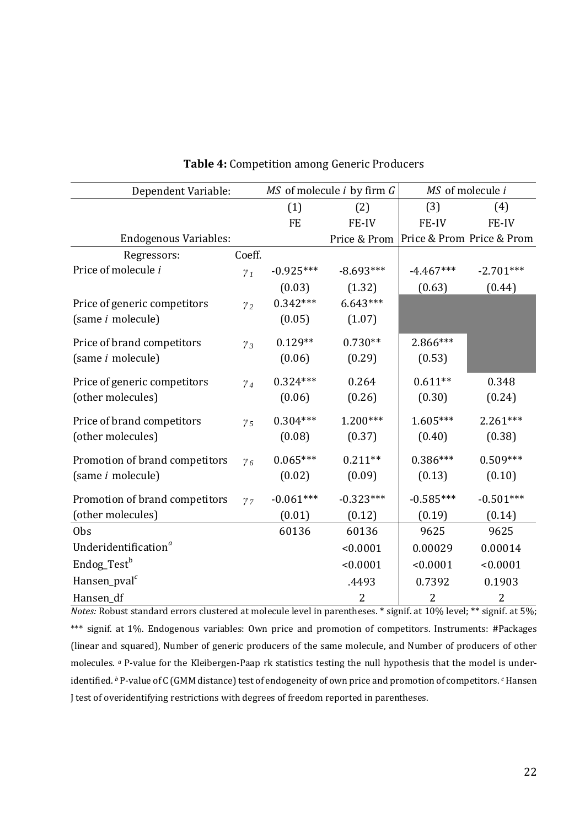| Dependent Variable:              |              |             | MS of molecule <i>i</i> by firm G | MS of molecule i |                           |  |
|----------------------------------|--------------|-------------|-----------------------------------|------------------|---------------------------|--|
|                                  |              | (1)         | (2)                               | (3)              | (4)                       |  |
|                                  |              | <b>FE</b>   | FE-IV                             | FE-IV            | FE-IV                     |  |
| <b>Endogenous Variables:</b>     |              |             | Price & Prom                      |                  | Price & Prom Price & Prom |  |
| Regressors:                      | Coeff.       |             |                                   |                  |                           |  |
| Price of molecule i              | $\gamma_I$   | $-0.925***$ | $-8.693***$                       | $-4.467***$      | $-2.701***$               |  |
|                                  |              | (0.03)      | (1.32)                            | (0.63)           | (0.44)                    |  |
| Price of generic competitors     | $\gamma_2$   | $0.342***$  | $6.643***$                        |                  |                           |  |
| (same <i>i</i> molecule)         |              | (0.05)      | (1.07)                            |                  |                           |  |
| Price of brand competitors       | $\gamma_3$   | $0.129**$   | $0.730**$                         | 2.866***         |                           |  |
| (same <i>i</i> molecule)         |              | (0.06)      | (0.29)                            | (0.53)           |                           |  |
| Price of generic competitors     |              | $0.324***$  | 0.264                             | $0.611**$        | 0.348                     |  |
| (other molecules)                | $\gamma_4$   | (0.06)      | (0.26)                            | (0.30)           | (0.24)                    |  |
|                                  |              |             |                                   |                  |                           |  |
| Price of brand competitors       | $\gamma_{5}$ | $0.304***$  | $1.200***$                        | $1.605***$       | $2.261***$                |  |
| (other molecules)                |              | (0.08)      | (0.37)                            | (0.40)           | (0.38)                    |  |
| Promotion of brand competitors   | $\gamma_6$   | $0.065***$  | $0.211**$                         | $0.386***$       | $0.509***$                |  |
| (same <i>i</i> molecule)         |              | (0.02)      | (0.09)                            | (0.13)           | (0.10)                    |  |
| Promotion of brand competitors   | $\gamma$ 7   | $-0.061***$ | $-0.323***$                       | $-0.585***$      | $-0.501***$               |  |
| (other molecules)                |              | (0.01)      | (0.12)                            | (0.19)           | (0.14)                    |  |
| 0 <sub>bs</sub>                  |              | 60136       | 60136                             | 9625             | 9625                      |  |
| Underidentification <sup>a</sup> |              |             | < 0.0001                          | 0.00029          | 0.00014                   |  |
| Endog_Test <sup>b</sup>          |              |             | < 0.0001                          | < 0.0001         | < 0.0001                  |  |
| Hansen_pval <sup>c</sup>         |              |             | .4493                             | 0.7392           | 0.1903                    |  |
| Hansen_df                        |              |             | $\overline{2}$                    | $\overline{2}$   | 2                         |  |

## **Table 4:** Competition among Generic Producers

*Notes:* Robust standard errors clustered at molecule level in parentheses. \* signif. at 10% level; \*\* signif. at 5%; \*\*\* signif. at 1%. Endogenous variables: Own price and promotion of competitors. Instruments: #Packages (linear and squared), Number of generic producers of the same molecule, and Number of producers of other molecules. *<sup>a</sup>* P-value for the Kleibergen-Paap rk statistics testing the null hypothesis that the model is underidentified. *<sup>b</sup>* P-value of C (GMM distance) test of endogeneity of own price and promotion of competitors. *<sup>c</sup>* Hansen J test of overidentifying restrictions with degrees of freedom reported in parentheses.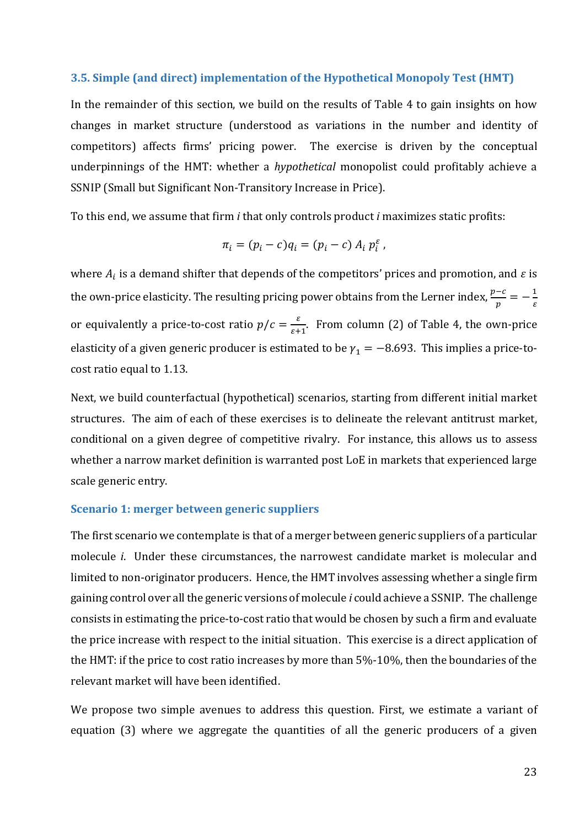#### **3.5. Simple (and direct) implementation of the Hypothetical Monopoly Test (HMT)**

In the remainder of this section, we build on the results of Table 4 to gain insights on how changes in market structure (understood as variations in the number and identity of competitors) affects firms' pricing power. The exercise is driven by the conceptual underpinnings of the HMT: whether a *hypothetical* monopolist could profitably achieve a SSNIP (Small but Significant Non-Transitory Increase in Price).

To this end, we assume that firm *i* that only controls product *i* maximizes static profits:

$$
\pi_i = (p_i - c)q_i = (p_i - c) A_i p_i^{\varepsilon},
$$

where  $A_i$  is a demand shifter that depends of the competitors' prices and promotion, and  $\varepsilon$  is the own-price elasticity. The resulting pricing power obtains from the Lerner index,  $\frac{p-c}{p}=-\frac{1}{\varepsilon}$  $\epsilon$ or equivalently a price-to-cost ratio  $p/c = \frac{\varepsilon}{\varepsilon}$  $\frac{e}{\varepsilon+1}$ . From column (2) of Table 4, the own-price elasticity of a given generic producer is estimated to be  $\gamma_1 = -8.693$ . This implies a price-tocost ratio equal to 1.13.

Next, we build counterfactual (hypothetical) scenarios, starting from different initial market structures. The aim of each of these exercises is to delineate the relevant antitrust market, conditional on a given degree of competitive rivalry. For instance, this allows us to assess whether a narrow market definition is warranted post LoE in markets that experienced large scale generic entry.

#### **Scenario 1: merger between generic suppliers**

The first scenario we contemplate is that of a merger between generic suppliers of a particular molecule *i*. Under these circumstances, the narrowest candidate market is molecular and limited to non-originator producers. Hence, the HMT involves assessing whether a single firm gaining control over all the generic versions of molecule *i* could achieve a SSNIP. The challenge consists in estimating the price-to-cost ratio that would be chosen by such a firm and evaluate the price increase with respect to the initial situation. This exercise is a direct application of the HMT: if the price to cost ratio increases by more than 5%-10%, then the boundaries of the relevant market will have been identified.

We propose two simple avenues to address this question. First, we estimate a variant of equation (3) where we aggregate the quantities of all the generic producers of a given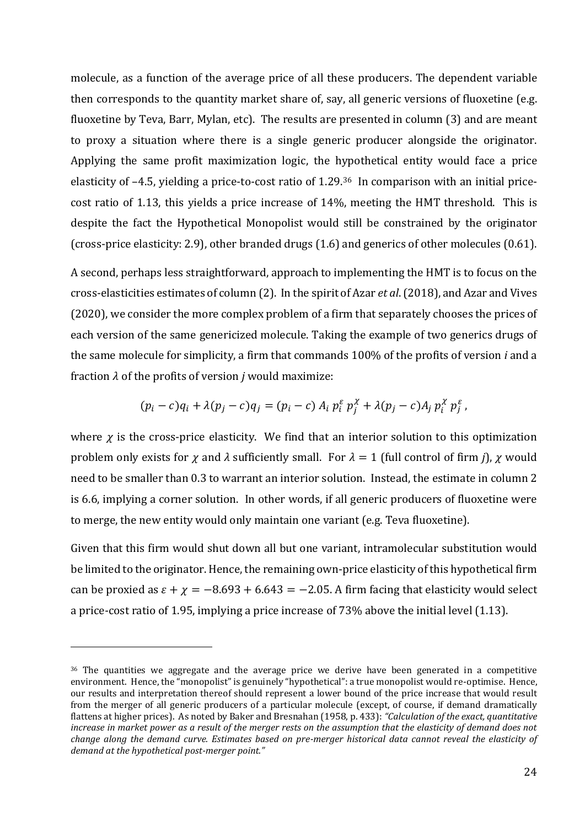molecule, as a function of the average price of all these producers. The dependent variable then corresponds to the quantity market share of, say, all generic versions of fluoxetine (e.g. fluoxetine by Teva, Barr, Mylan, etc). The results are presented in column (3) and are meant to proxy a situation where there is a single generic producer alongside the originator. Applying the same profit maximization logic, the hypothetical entity would face a price elasticity of –4.5, yielding a price-to-cost ratio of 1.29.36 In comparison with an initial pricecost ratio of 1.13, this yields a price increase of 14%, meeting the HMT threshold. This is despite the fact the Hypothetical Monopolist would still be constrained by the originator (cross-price elasticity: 2.9), other branded drugs (1.6) and generics of other molecules (0.61).

A second, perhaps less straightforward, approach to implementing the HMT is to focus on the cross-elasticities estimates of column (2). In the spirit of Azar *et al*. (2018), and Azar and Vives (2020), we consider the more complex problem of a firm that separately chooses the prices of each version of the same genericized molecule. Taking the example of two generics drugs of the same molecule for simplicity, a firm that commands 100% of the profits of version *i* and a fraction  $\lambda$  of the profits of version *j* would maximize:

$$
(p_i-c)q_i+\lambda(p_j-c)q_j=(p_i-c) A_i p_i^{\varepsilon} p_j^{\chi}+\lambda(p_j-c) A_j p_i^{\chi} p_j^{\varepsilon},
$$

where  $\chi$  is the cross-price elasticity. We find that an interior solution to this optimization problem only exists for  $\chi$  and  $\lambda$  sufficiently small. For  $\lambda = 1$  (full control of firm *j*),  $\chi$  would need to be smaller than 0.3 to warrant an interior solution. Instead, the estimate in column 2 is 6.6, implying a corner solution. In other words, if all generic producers of fluoxetine were to merge, the new entity would only maintain one variant (e.g. Teva fluoxetine).

Given that this firm would shut down all but one variant, intramolecular substitution would be limited to the originator. Hence, the remaining own-price elasticity of this hypothetical firm can be proxied as  $\varepsilon + \chi = -8.693 + 6.643 = -2.05$ . A firm facing that elasticity would select a price-cost ratio of 1.95, implying a price increase of 73% above the initial level (1.13).

<sup>&</sup>lt;sup>36</sup> The quantities we aggregate and the average price we derive have been generated in a competitive environment. Hence, the "monopolist" is genuinely "hypothetical": a true monopolist would re-optimise. Hence, our results and interpretation thereof should represent a lower bound of the price increase that would result from the merger of all generic producers of a particular molecule (except, of course, if demand dramatically flattens at higher prices). As noted by Baker and Bresnahan (1958, p. 433): *"Calculation of the exact, quantitative increase in market power as a result of the merger rests on the assumption that the elasticity of demand does not change along the demand curve. Estimates based on pre-merger historical data cannot reveal the elasticity of demand at the hypothetical post-merger point."*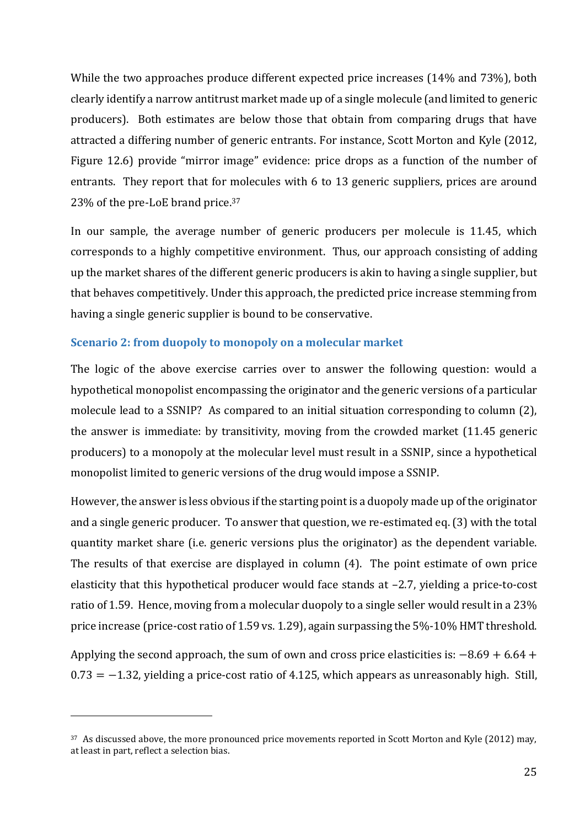While the two approaches produce different expected price increases (14% and 73%), both clearly identify a narrow antitrust market made up of a single molecule (and limited to generic producers). Both estimates are below those that obtain from comparing drugs that have attracted a differing number of generic entrants. For instance, Scott Morton and Kyle (2012, Figure 12.6) provide "mirror image" evidence: price drops as a function of the number of entrants. They report that for molecules with 6 to 13 generic suppliers, prices are around 23% of the pre-LoE brand price.<sup>37</sup>

In our sample, the average number of generic producers per molecule is 11.45, which corresponds to a highly competitive environment. Thus, our approach consisting of adding up the market shares of the different generic producers is akin to having a single supplier, but that behaves competitively. Under this approach, the predicted price increase stemming from having a single generic supplier is bound to be conservative.

## **Scenario 2: from duopoly to monopoly on a molecular market**

The logic of the above exercise carries over to answer the following question: would a hypothetical monopolist encompassing the originator and the generic versions of a particular molecule lead to a SSNIP? As compared to an initial situation corresponding to column (2), the answer is immediate: by transitivity, moving from the crowded market (11.45 generic producers) to a monopoly at the molecular level must result in a SSNIP, since a hypothetical monopolist limited to generic versions of the drug would impose a SSNIP.

However, the answer is less obvious if the starting point is a duopoly made up of the originator and a single generic producer. To answer that question, we re-estimated eq. (3) with the total quantity market share (i.e. generic versions plus the originator) as the dependent variable. The results of that exercise are displayed in column (4). The point estimate of own price elasticity that this hypothetical producer would face stands at –2.7, yielding a price-to-cost ratio of 1.59. Hence, moving from a molecular duopoly to a single seller would result in a 23% price increase (price-cost ratio of 1.59 vs. 1.29), again surpassing the 5%-10% HMT threshold.

Applying the second approach, the sum of own and cross price elasticities is:  $-8.69 + 6.64 +$  $0.73 = -1.32$ , yielding a price-cost ratio of 4.125, which appears as unreasonably high. Still,

<sup>&</sup>lt;sup>37</sup> As discussed above, the more pronounced price movements reported in Scott Morton and Kyle (2012) may, at least in part, reflect a selection bias.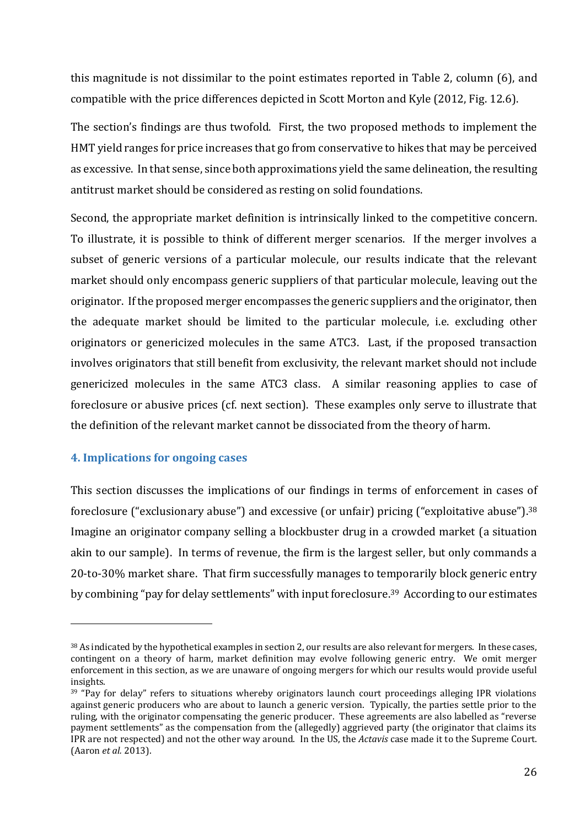this magnitude is not dissimilar to the point estimates reported in Table 2, column (6), and compatible with the price differences depicted in Scott Morton and Kyle (2012, Fig. 12.6).

The section's findings are thus twofold. First, the two proposed methods to implement the HMT yield ranges for price increases that go from conservative to hikes that may be perceived as excessive. In that sense, since both approximations yield the same delineation, the resulting antitrust market should be considered as resting on solid foundations.

Second, the appropriate market definition is intrinsically linked to the competitive concern. To illustrate, it is possible to think of different merger scenarios. If the merger involves a subset of generic versions of a particular molecule, our results indicate that the relevant market should only encompass generic suppliers of that particular molecule, leaving out the originator. If the proposed merger encompasses the generic suppliers and the originator, then the adequate market should be limited to the particular molecule, i.e. excluding other originators or genericized molecules in the same ATC3. Last, if the proposed transaction involves originators that still benefit from exclusivity, the relevant market should not include genericized molecules in the same ATC3 class. A similar reasoning applies to case of foreclosure or abusive prices (cf. next section). These examples only serve to illustrate that the definition of the relevant market cannot be dissociated from the theory of harm.

## **4. Implications for ongoing cases**

<u>.</u>

This section discusses the implications of our findings in terms of enforcement in cases of foreclosure ("exclusionary abuse") and excessive (or unfair) pricing ("exploitative abuse").<sup>38</sup> Imagine an originator company selling a blockbuster drug in a crowded market (a situation akin to our sample). In terms of revenue, the firm is the largest seller, but only commands a 20-to-30% market share. That firm successfully manages to temporarily block generic entry by combining "pay for delay settlements" with input foreclosure. <sup>39</sup> According to our estimates

<sup>&</sup>lt;sup>38</sup> As indicated by the hypothetical examples in section 2, our results are also relevant for mergers. In these cases, contingent on a theory of harm, market definition may evolve following generic entry. We omit merger enforcement in this section, as we are unaware of ongoing mergers for which our results would provide useful insights.

<sup>&</sup>lt;sup>39</sup> "Pay for delay" refers to situations whereby originators launch court proceedings alleging IPR violations against generic producers who are about to launch a generic version. Typically, the parties settle prior to the ruling, with the originator compensating the generic producer. These agreements are also labelled as "reverse payment settlements" as the compensation from the (allegedly) aggrieved party (the originator that claims its IPR are not respected) and not the other way around. In the US, the *Actavis* case made it to the Supreme Court. (Aaron *et al.* 2013).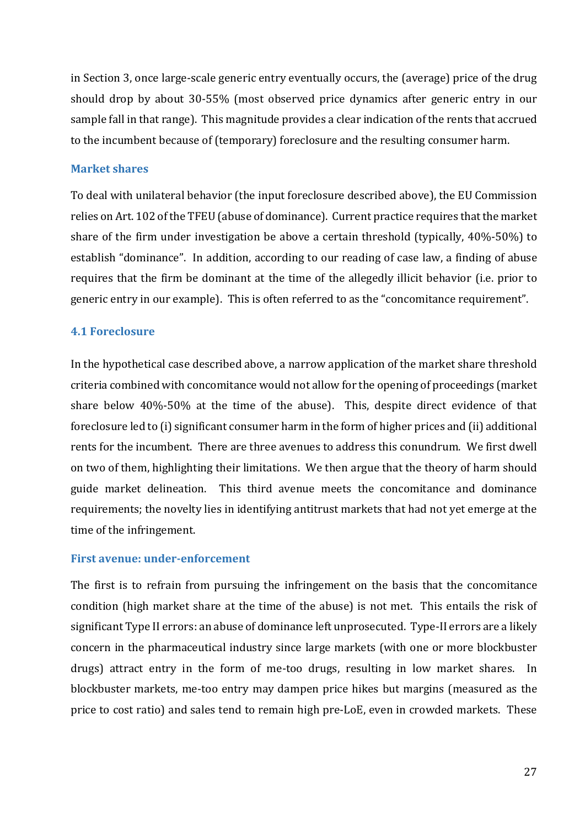in Section 3, once large-scale generic entry eventually occurs, the (average) price of the drug should drop by about 30-55% (most observed price dynamics after generic entry in our sample fall in that range). This magnitude provides a clear indication of the rents that accrued to the incumbent because of (temporary) foreclosure and the resulting consumer harm.

## **Market shares**

To deal with unilateral behavior (the input foreclosure described above), the EU Commission relies on Art. 102 of the TFEU (abuse of dominance). Current practice requires that the market share of the firm under investigation be above a certain threshold (typically, 40%-50%) to establish "dominance". In addition, according to our reading of case law, a finding of abuse requires that the firm be dominant at the time of the allegedly illicit behavior (i.e. prior to generic entry in our example). This is often referred to as the "concomitance requirement".

## **4.1 Foreclosure**

In the hypothetical case described above, a narrow application of the market share threshold criteria combined with concomitance would not allow for the opening of proceedings (market share below 40%-50% at the time of the abuse). This, despite direct evidence of that foreclosure led to (i) significant consumer harm in the form of higher prices and (ii) additional rents for the incumbent. There are three avenues to address this conundrum. We first dwell on two of them, highlighting their limitations. We then argue that the theory of harm should guide market delineation. This third avenue meets the concomitance and dominance requirements; the novelty lies in identifying antitrust markets that had not yet emerge at the time of the infringement.

## **First avenue: under-enforcement**

The first is to refrain from pursuing the infringement on the basis that the concomitance condition (high market share at the time of the abuse) is not met. This entails the risk of significant Type II errors: an abuse of dominance left unprosecuted. Type-II errors are a likely concern in the pharmaceutical industry since large markets (with one or more blockbuster drugs) attract entry in the form of me-too drugs, resulting in low market shares. In blockbuster markets, me-too entry may dampen price hikes but margins (measured as the price to cost ratio) and sales tend to remain high pre-LoE, even in crowded markets. These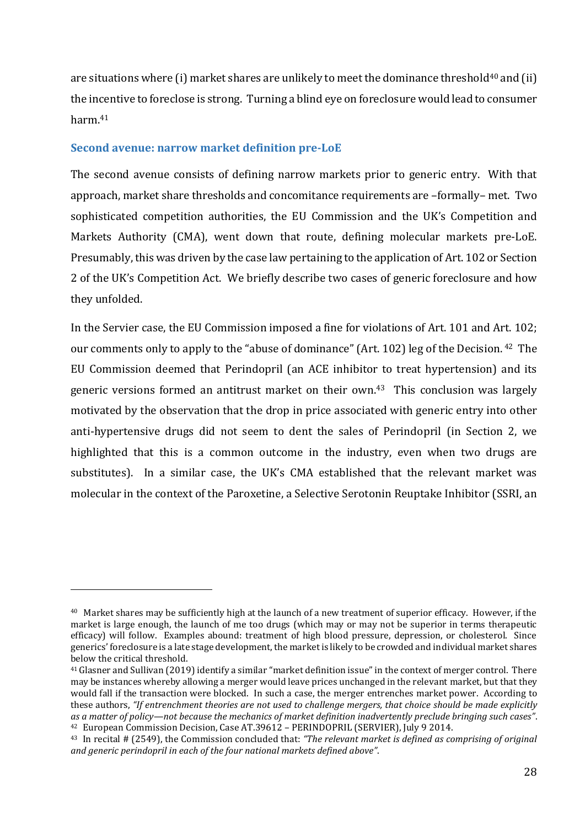are situations where (i) market shares are unlikely to meet the dominance threshold<sup>40</sup> and (ii) the incentive to foreclose is strong. Turning a blind eye on foreclosure would lead to consumer harm.<sup>41</sup>

#### **Second avenue: narrow market definition pre-LoE**

<u>.</u>

The second avenue consists of defining narrow markets prior to generic entry. With that approach, market share thresholds and concomitance requirements are –formally– met. Two sophisticated competition authorities, the EU Commission and the UK's Competition and Markets Authority (CMA), went down that route, defining molecular markets pre-LoE. Presumably, this was driven by the case law pertaining to the application of Art. 102 or Section 2 of the UK's Competition Act. We briefly describe two cases of generic foreclosure and how they unfolded.

In the Servier case, the EU Commission imposed a fine for violations of Art. 101 and Art. 102; our comments only to apply to the "abuse of dominance" (Art. 102) leg of the Decision. <sup>42</sup> The EU Commission deemed that Perindopril (an ACE inhibitor to treat hypertension) and its generic versions formed an antitrust market on their own.<sup>43</sup> This conclusion was largely motivated by the observation that the drop in price associated with generic entry into other anti-hypertensive drugs did not seem to dent the sales of Perindopril (in Section 2, we highlighted that this is a common outcome in the industry, even when two drugs are substitutes). In a similar case, the UK's CMA established that the relevant market was molecular in the context of the Paroxetine, a Selective Serotonin Reuptake Inhibitor (SSRI, an

<sup>40</sup> Market shares may be sufficiently high at the launch of a new treatment of superior efficacy. However, if the market is large enough, the launch of me too drugs (which may or may not be superior in terms therapeutic efficacy) will follow. Examples abound: treatment of high blood pressure, depression, or cholesterol. Since generics' foreclosure is a late stage development, the market is likely to be crowded and individual market shares below the critical threshold.

<sup>41</sup>Glasner and Sullivan (2019) identify a similar "market definition issue" in the context of merger control. There may be instances whereby allowing a merger would leave prices unchanged in the relevant market, but that they would fall if the transaction were blocked. In such a case, the merger entrenches market power. According to these authors, *"If entrenchment theories are not used to challenge mergers, that choice should be made explicitly as a matter of policy—not because the mechanics of market definition inadvertently preclude bringing such cases"*. <sup>42</sup> European Commission Decision, Case AT.39612 – PERINDOPRIL (SERVIER), July 9 2014.

<sup>43</sup> In recital # (2549), the Commission concluded that: *"The relevant market is defined as comprising of original and generic perindopril in each of the four national markets defined above"*.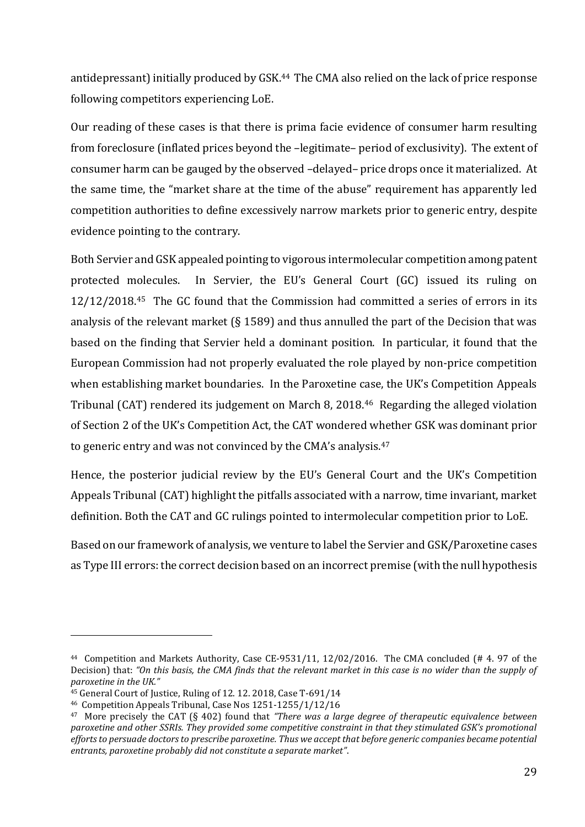antidepressant) initially produced by GSK.<sup>44</sup> The CMA also relied on the lack of price response following competitors experiencing LoE.

Our reading of these cases is that there is prima facie evidence of consumer harm resulting from foreclosure (inflated prices beyond the –legitimate– period of exclusivity). The extent of consumer harm can be gauged by the observed –delayed– price drops once it materialized. At the same time, the "market share at the time of the abuse" requirement has apparently led competition authorities to define excessively narrow markets prior to generic entry, despite evidence pointing to the contrary.

Both Servier and GSK appealed pointing to vigorous intermolecular competition among patent protected molecules. In Servier, the EU's General Court (GC) issued its ruling on 12/12/2018.45 The GC found that the Commission had committed a series of errors in its analysis of the relevant market (§ 1589) and thus annulled the part of the Decision that was based on the finding that Servier held a dominant position. In particular, it found that the European Commission had not properly evaluated the role played by non-price competition when establishing market boundaries. In the Paroxetine case, the UK's Competition Appeals Tribunal (CAT) rendered its judgement on March 8, 2018.46 Regarding the alleged violation of Section 2 of the UK's Competition Act, the CAT wondered whether GSK was dominant prior to generic entry and was not convinced by the CMA's analysis.<sup>47</sup>

Hence, the posterior judicial review by the EU's General Court and the UK's Competition Appeals Tribunal (CAT) highlight the pitfalls associated with a narrow, time invariant, market definition. Both the CAT and GC rulings pointed to intermolecular competition prior to LoE.

Based on our framework of analysis, we venture to label the Servier and GSK/Paroxetine cases as Type III errors: the correct decision based on an incorrect premise (with the null hypothesis

<sup>44</sup> Competition and Markets Authority, Case CE-9531/11, 12/02/2016. The CMA concluded (# 4. 97 of the Decision) that: *"On this basis, the CMA finds that the relevant market in this case is no wider than the supply of paroxetine in the UK."*

<sup>&</sup>lt;sup>45</sup> General Court of Justice, Ruling of 12. 12. 2018, Case T-691/14

<sup>46</sup> Competition Appeals Tribunal, Case Nos 1251-1255/1/12/16

<sup>47</sup> More precisely the CAT (§ 402) found that *"There was a large degree of therapeutic equivalence between paroxetine and other SSRIs. They provided some competitive constraint in that they stimulated GSK's promotional efforts to persuade doctors to prescribe paroxetine. Thus we accept that before generic companies became potential entrants, paroxetine probably did not constitute a separate market"*.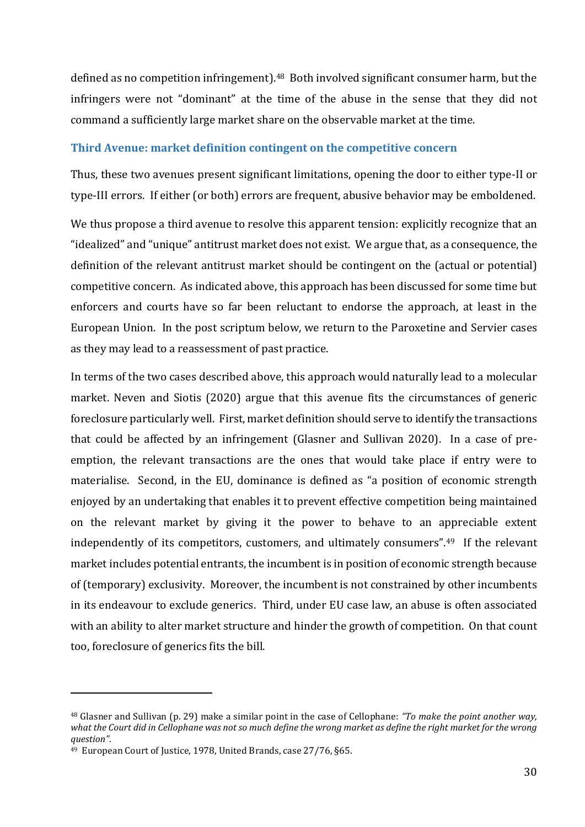defined as no competition infringement).48 Both involved significant consumer harm, but the infringers were not "dominant" at the time of the abuse in the sense that they did not command a sufficiently large market share on the observable market at the time.

#### **Third Avenue: market definition contingent on the competitive concern**

Thus, these two avenues present significant limitations, opening the door to either type-II or type-III errors. If either (or both) errors are frequent, abusive behavior may be emboldened.

We thus propose a third avenue to resolve this apparent tension: explicitly recognize that an "idealized" and "unique" antitrust market does not exist. We argue that, as a consequence, the definition of the relevant antitrust market should be contingent on the (actual or potential) competitive concern. As indicated above, this approach has been discussed for some time but enforcers and courts have so far been reluctant to endorse the approach, at least in the European Union. In the post scriptum below, we return to the Paroxetine and Servier cases as they may lead to a reassessment of past practice.

In terms of the two cases described above, this approach would naturally lead to a molecular market. Neven and Siotis (2020) argue that this avenue fits the circumstances of generic foreclosure particularly well. First, market definition should serve to identify the transactions that could be affected by an infringement (Glasner and Sullivan 2020). In a case of preemption, the relevant transactions are the ones that would take place if entry were to materialise. Second, in the EU, dominance is defined as "a position of economic strength enjoyed by an undertaking that enables it to prevent effective competition being maintained on the relevant market by giving it the power to behave to an appreciable extent independently of its competitors, customers, and ultimately consumers".49 If the relevant market includes potential entrants, the incumbent is in position of economic strength because of (temporary) exclusivity. Moreover, the incumbent is not constrained by other incumbents in its endeavour to exclude generics. Third, under EU case law, an abuse is often associated with an ability to alter market structure and hinder the growth of competition. On that count too, foreclosure of generics fits the bill.

<sup>48</sup> Glasner and Sullivan (p. 29) make a similar point in the case of Cellophane: *"To make the point another way, what the Court did in Cellophane was not so much define the wrong market as define the right market for the wrong question"*.

<sup>49</sup> European Court of Justice, 1978, United Brands, case 27/76, §65.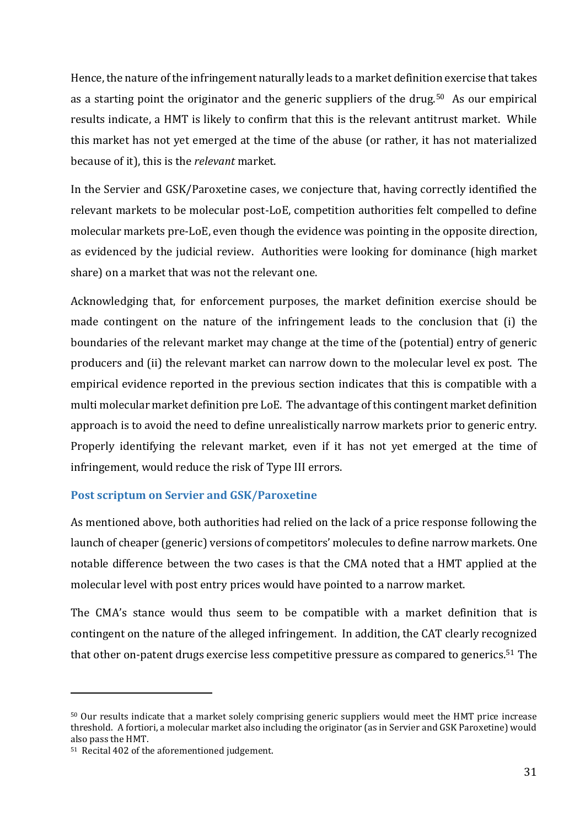Hence, the nature of the infringement naturally leads to a market definition exercise that takes as a starting point the originator and the generic suppliers of the drug.50 As our empirical results indicate, a HMT is likely to confirm that this is the relevant antitrust market. While this market has not yet emerged at the time of the abuse (or rather, it has not materialized because of it), this is the *relevant* market.

In the Servier and GSK/Paroxetine cases, we conjecture that, having correctly identified the relevant markets to be molecular post-LoE, competition authorities felt compelled to define molecular markets pre-LoE, even though the evidence was pointing in the opposite direction, as evidenced by the judicial review. Authorities were looking for dominance (high market share) on a market that was not the relevant one.

Acknowledging that, for enforcement purposes, the market definition exercise should be made contingent on the nature of the infringement leads to the conclusion that (i) the boundaries of the relevant market may change at the time of the (potential) entry of generic producers and (ii) the relevant market can narrow down to the molecular level ex post. The empirical evidence reported in the previous section indicates that this is compatible with a multi molecular market definition pre LoE. The advantage of this contingent market definition approach is to avoid the need to define unrealistically narrow markets prior to generic entry. Properly identifying the relevant market, even if it has not yet emerged at the time of infringement, would reduce the risk of Type III errors.

## **Post scriptum on Servier and GSK/Paroxetine**

As mentioned above, both authorities had relied on the lack of a price response following the launch of cheaper (generic) versions of competitors' molecules to define narrow markets. One notable difference between the two cases is that the CMA noted that a HMT applied at the molecular level with post entry prices would have pointed to a narrow market.

The CMA's stance would thus seem to be compatible with a market definition that is contingent on the nature of the alleged infringement. In addition, the CAT clearly recognized that other on-patent drugs exercise less competitive pressure as compared to generics.51 The

<sup>50</sup> Our results indicate that a market solely comprising generic suppliers would meet the HMT price increase threshold. A fortiori, a molecular market also including the originator (as in Servier and GSK Paroxetine) would also pass the HMT.

<sup>51</sup> Recital 402 of the aforementioned judgement.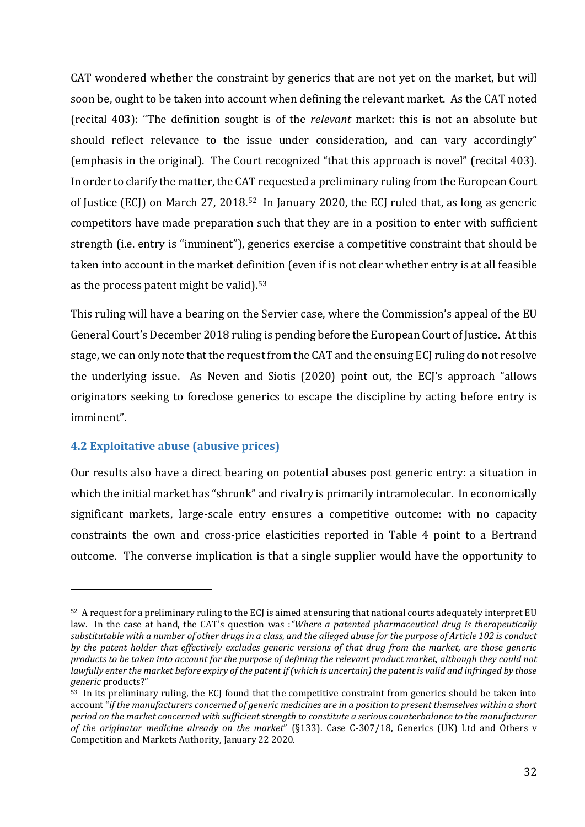CAT wondered whether the constraint by generics that are not yet on the market, but will soon be, ought to be taken into account when defining the relevant market. As the CAT noted (recital 403): "The definition sought is of the *relevant* market: this is not an absolute but should reflect relevance to the issue under consideration, and can vary accordingly" (emphasis in the original). The Court recognized "that this approach is novel" (recital 403). In order to clarify the matter, the CAT requested a preliminary ruling from the European Court of Justice (ECJ) on March 27, 2018.52 In January 2020, the ECJ ruled that, as long as generic competitors have made preparation such that they are in a position to enter with sufficient strength (i.e. entry is "imminent"), generics exercise a competitive constraint that should be taken into account in the market definition (even if is not clear whether entry is at all feasible as the process patent might be valid).<sup>53</sup>

This ruling will have a bearing on the Servier case, where the Commission's appeal of the EU General Court's December 2018 ruling is pending before the European Court of Justice. At this stage, we can only note that the request from the CAT and the ensuing ECJ ruling do not resolve the underlying issue. As Neven and Siotis (2020) point out, the ECJ's approach "allows originators seeking to foreclose generics to escape the discipline by acting before entry is imminent".

# **4.2 Exploitative abuse (abusive prices)**

<u>.</u>

Our results also have a direct bearing on potential abuses post generic entry: a situation in which the initial market has "shrunk" and rivalry is primarily intramolecular. In economically significant markets, large-scale entry ensures a competitive outcome: with no capacity constraints the own and cross-price elasticities reported in Table 4 point to a Bertrand outcome. The converse implication is that a single supplier would have the opportunity to

<sup>52</sup> A request for a preliminary ruling to the ECJ is aimed at ensuring that national courts adequately interpret EU law. In the case at hand, the CAT's question was :*"Where a patented pharmaceutical drug is therapeutically substitutable with a number of other drugs in a class, and the alleged abuse for the purpose of Article 102 is conduct by the patent holder that effectively excludes generic versions of that drug from the market, are those generic products to be taken into account for the purpose of defining the relevant product market, although they could not lawfully enter the market before expiry of the patent if (which is uncertain) the patent is valid and infringed by those generic* products?"

 $53$  In its preliminary ruling, the ECJ found that the competitive constraint from generics should be taken into account "*if the manufacturers concerned of generic medicines are in a position to present themselves within a short period on the market concerned with sufficient strength to constitute a serious counterbalance to the manufacturer of the originator medicine already on the market*" (§133). Case C-307/18, Generics (UK) Ltd and Others v Competition and Markets Authority, January 22 2020.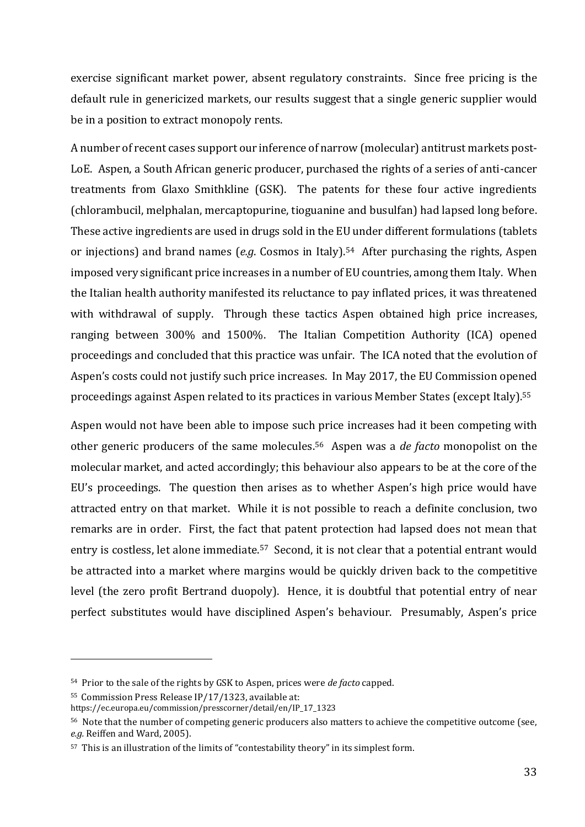exercise significant market power, absent regulatory constraints. Since free pricing is the default rule in genericized markets, our results suggest that a single generic supplier would be in a position to extract monopoly rents.

A number of recent cases support our inference of narrow (molecular) antitrust markets post-LoE. Aspen, a South African generic producer, purchased the rights of a series of anti-cancer treatments from Glaxo Smithkline (GSK). The patents for these four active ingredients (chlorambucil, melphalan, mercaptopurine, tioguanine and busulfan) had lapsed long before. These active ingredients are used in drugs sold in the EU under different formulations (tablets or injections) and brand names (*e.g*. Cosmos in Italy).54 After purchasing the rights, Aspen imposed very significant price increases in a number of EU countries, among them Italy. When the Italian health authority manifested its reluctance to pay inflated prices, it was threatened with withdrawal of supply. Through these tactics Aspen obtained high price increases, ranging between 300% and 1500%. The Italian Competition Authority (ICA) opened proceedings and concluded that this practice was unfair. The ICA noted that the evolution of Aspen's costs could not justify such price increases. In May 2017, the EU Commission opened proceedings against Aspen related to its practices in various Member States (except Italy).<sup>55</sup>

Aspen would not have been able to impose such price increases had it been competing with other generic producers of the same molecules.56 Aspen was a *de facto* monopolist on the molecular market, and acted accordingly; this behaviour also appears to be at the core of the EU's proceedings. The question then arises as to whether Aspen's high price would have attracted entry on that market. While it is not possible to reach a definite conclusion, two remarks are in order. First, the fact that patent protection had lapsed does not mean that entry is costless, let alone immediate.<sup>57</sup> Second, it is not clear that a potential entrant would be attracted into a market where margins would be quickly driven back to the competitive level (the zero profit Bertrand duopoly). Hence, it is doubtful that potential entry of near perfect substitutes would have disciplined Aspen's behaviour. Presumably, Aspen's price

<sup>54</sup> Prior to the sale of the rights by GSK to Aspen, prices were *de facto* capped.

<sup>55</sup> Commission Press Release IP/17/1323, available at:

https://ec.europa.eu/commission/presscorner/detail/en/IP\_17\_1323

<sup>56</sup> Note that the number of competing generic producers also matters to achieve the competitive outcome (see, *e.g.* Reiffen and Ward, 2005).

<sup>57</sup> This is an illustration of the limits of "contestability theory" in its simplest form.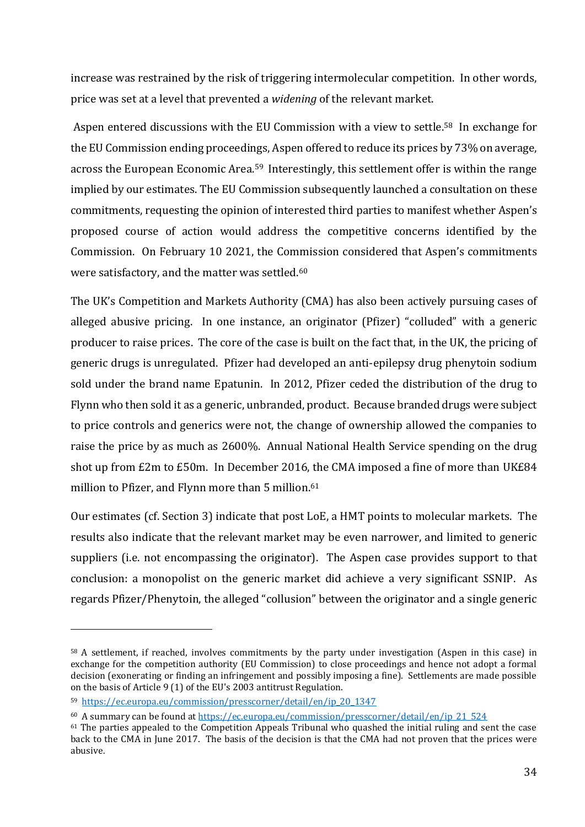increase was restrained by the risk of triggering intermolecular competition. In other words, price was set at a level that prevented a *widening* of the relevant market.

Aspen entered discussions with the EU Commission with a view to settle. <sup>58</sup> In exchange for the EU Commission ending proceedings, Aspen offered to reduce its prices by 73% on average, across the European Economic Area.<sup>59</sup> Interestingly, this settlement offer is within the range implied by our estimates. The EU Commission subsequently launched a consultation on these commitments, requesting the opinion of interested third parties to manifest whether Aspen's proposed course of action would address the competitive concerns identified by the Commission. On February 10 2021, the Commission considered that Aspen's commitments were satisfactory, and the matter was settled.<sup>60</sup>

The UK's Competition and Markets Authority (CMA) has also been actively pursuing cases of alleged abusive pricing. In one instance, an originator (Pfizer) "colluded" with a generic producer to raise prices. The core of the case is built on the fact that, in the UK, the pricing of generic drugs is unregulated. Pfizer had developed an anti-epilepsy drug phenytoin sodium sold under the brand name Epatunin. In 2012, Pfizer ceded the distribution of the drug to Flynn who then sold it as a generic, unbranded, product. Because branded drugs were subject to price controls and generics were not, the change of ownership allowed the companies to raise the price by as much as 2600%. Annual National Health Service spending on the drug shot up from £2m to £50m. In December 2016, the CMA imposed a fine of more than UK£84 million to Pfizer, and Flynn more than 5 million.<sup>61</sup>

Our estimates (cf. Section 3) indicate that post LoE, a HMT points to molecular markets. The results also indicate that the relevant market may be even narrower, and limited to generic suppliers (i.e. not encompassing the originator). The Aspen case provides support to that conclusion: a monopolist on the generic market did achieve a very significant SSNIP. As regards Pfizer/Phenytoin, the alleged "collusion" between the originator and a single generic

<sup>58</sup> A settlement, if reached, involves commitments by the party under investigation (Aspen in this case) in exchange for the competition authority (EU Commission) to close proceedings and hence not adopt a formal decision (exonerating or finding an infringement and possibly imposing a fine). Settlements are made possible on the basis of Article 9 (1) of the EU's 2003 antitrust Regulation.

<sup>59</sup> [https://ec.europa.eu/commission/presscorner/detail/en/ip\\_20\\_1347](https://ec.europa.eu/commission/presscorner/detail/en/ip_20_1347)

<sup>60</sup> A summary can be found at [https://ec.europa.eu/commission/presscorner/detail/en/ip\\_21\\_524](https://ec.europa.eu/commission/presscorner/detail/en/ip_21_524)

<sup>61</sup> The parties appealed to the Competition Appeals Tribunal who quashed the initial ruling and sent the case back to the CMA in June 2017. The basis of the decision is that the CMA had not proven that the prices were abusive.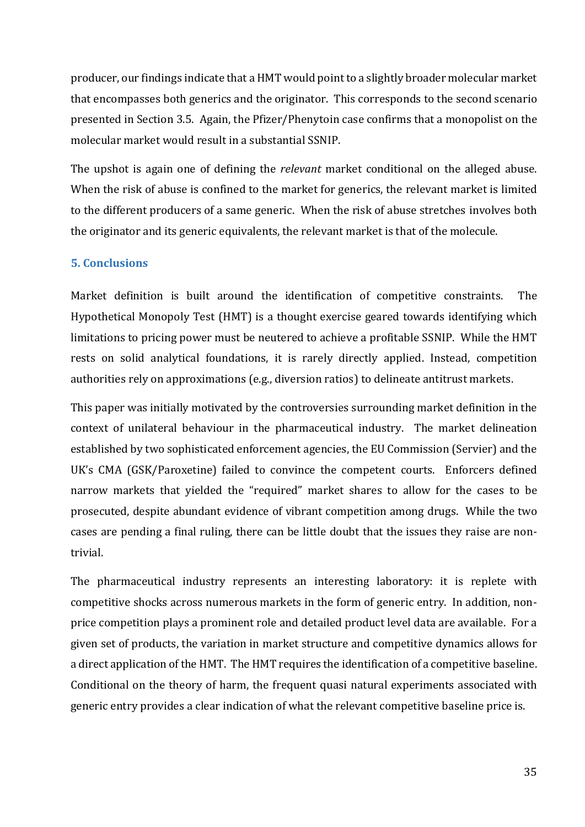producer, our findings indicate that a HMT would point to a slightly broader molecular market that encompasses both generics and the originator. This corresponds to the second scenario presented in Section 3.5. Again, the Pfizer/Phenytoin case confirms that a monopolist on the molecular market would result in a substantial SSNIP.

The upshot is again one of defining the *relevant* market conditional on the alleged abuse. When the risk of abuse is confined to the market for generics, the relevant market is limited to the different producers of a same generic. When the risk of abuse stretches involves both the originator and its generic equivalents, the relevant market is that of the molecule.

## **5. Conclusions**

Market definition is built around the identification of competitive constraints. The Hypothetical Monopoly Test (HMT) is a thought exercise geared towards identifying which limitations to pricing power must be neutered to achieve a profitable SSNIP. While the HMT rests on solid analytical foundations, it is rarely directly applied. Instead, competition authorities rely on approximations (e.g., diversion ratios) to delineate antitrust markets.

This paper was initially motivated by the controversies surrounding market definition in the context of unilateral behaviour in the pharmaceutical industry. The market delineation established by two sophisticated enforcement agencies, the EU Commission (Servier) and the UK's CMA (GSK/Paroxetine) failed to convince the competent courts. Enforcers defined narrow markets that yielded the "required" market shares to allow for the cases to be prosecuted, despite abundant evidence of vibrant competition among drugs. While the two cases are pending a final ruling, there can be little doubt that the issues they raise are nontrivial.

The pharmaceutical industry represents an interesting laboratory: it is replete with competitive shocks across numerous markets in the form of generic entry. In addition, nonprice competition plays a prominent role and detailed product level data are available. For a given set of products, the variation in market structure and competitive dynamics allows for a direct application of the HMT. The HMT requires the identification of a competitive baseline. Conditional on the theory of harm, the frequent quasi natural experiments associated with generic entry provides a clear indication of what the relevant competitive baseline price is.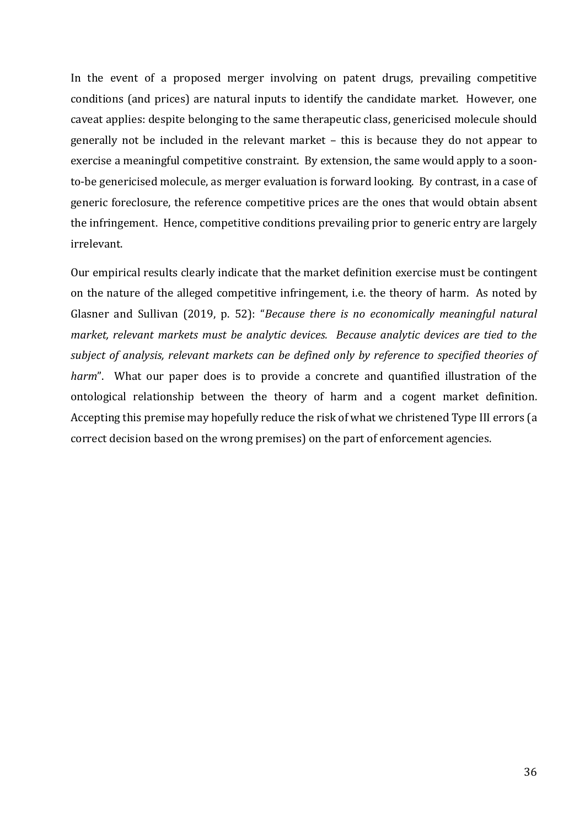In the event of a proposed merger involving on patent drugs, prevailing competitive conditions (and prices) are natural inputs to identify the candidate market. However, one caveat applies: despite belonging to the same therapeutic class, genericised molecule should generally not be included in the relevant market – this is because they do not appear to exercise a meaningful competitive constraint. By extension, the same would apply to a soonto-be genericised molecule, as merger evaluation is forward looking. By contrast, in a case of generic foreclosure, the reference competitive prices are the ones that would obtain absent the infringement. Hence, competitive conditions prevailing prior to generic entry are largely irrelevant.

Our empirical results clearly indicate that the market definition exercise must be contingent on the nature of the alleged competitive infringement, i.e. the theory of harm. As noted by Glasner and Sullivan (2019, p. 52): "*Because there is no economically meaningful natural market, relevant markets must be analytic devices. Because analytic devices are tied to the subject of analysis, relevant markets can be defined only by reference to specified theories of harm*". What our paper does is to provide a concrete and quantified illustration of the ontological relationship between the theory of harm and a cogent market definition. Accepting this premise may hopefully reduce the risk of what we christened Type III errors (a correct decision based on the wrong premises) on the part of enforcement agencies.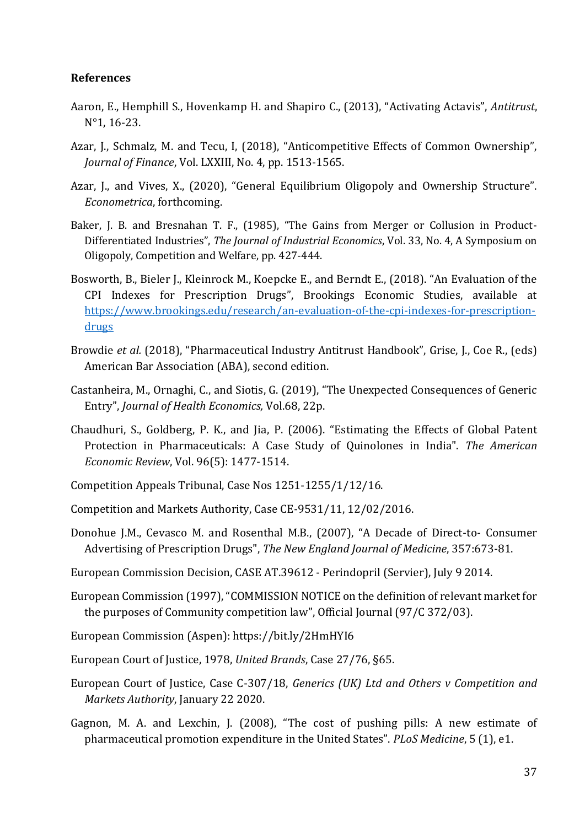## **References**

- Aaron, E., Hemphill S., Hovenkamp H. and Shapiro C., (2013), "Activating Actavis", *Antitrust*, N°1, 16-23.
- Azar, J., Schmalz, M. and Tecu, I, (2018), "Anticompetitive Effects of Common Ownership", *Journal of Finance*, Vol. LXXIII, No. 4, pp. 1513-1565.
- Azar, J., and Vives, X., (2020), "General Equilibrium Oligopoly and Ownership Structure". *Econometrica*, forthcoming.
- Baker, J. B. and Bresnahan T. F., (1985), "The Gains from Merger or Collusion in Product-Differentiated Industries", *The Journal of Industrial Economics*, Vol. 33, No. 4, A Symposium on Oligopoly, Competition and Welfare, pp. 427-444.
- Bosworth, B., Bieler J., Kleinrock M., Koepcke E., and Berndt E., (2018). "An Evaluation of the CPI Indexes for Prescription Drugs", Brookings Economic Studies, available at [https://www.brookings.edu/research/an-evaluation-of-the-cpi-indexes-for-prescription](https://www.brookings.edu/research/an-evaluation-of-the-cpi-indexes-for-prescription-drugs)[drugs](https://www.brookings.edu/research/an-evaluation-of-the-cpi-indexes-for-prescription-drugs)
- Browdie *et al.* (2018), "Pharmaceutical Industry Antitrust Handbook", Grise, J., Coe R., (eds) American Bar Association (ABA), second edition.
- Castanheira, M., Ornaghi, C., and Siotis, G. (2019), "The Unexpected Consequences of Generic Entry", *Journal of Health Economics,* Vol.68, 22p.
- Chaudhuri, S., Goldberg, P. K., and Jia, P. (2006). "Estimating the Effects of Global Patent Protection in Pharmaceuticals: A Case Study of Quinolones in India". *The American Economic Review*, Vol. 96(5): 1477-1514.
- Competition Appeals Tribunal, Case Nos 1251-1255/1/12/16.
- Competition and Markets Authority, Case CE-9531/11, 12/02/2016.
- Donohue J.M., Cevasco M. and Rosenthal M.B., (2007), "A Decade of Direct-to- Consumer Advertising of Prescription Drugs", *The New England Journal of Medicine*, 357:673-81.
- European Commission Decision, CASE AT.39612 Perindopril (Servier), July 9 2014.
- European Commission (1997), "COMMISSION NOTICE on the definition of relevant market for the purposes of Community competition law", Official Journal (97/C 372/03).
- European Commission (Aspen): https://bit.ly/2HmHYI6
- European Court of Justice, 1978, *United Brands*, Case 27/76, §65.
- European Court of Justice, Case C-307/18, *Generics (UK) Ltd and Others v Competition and Markets Authority*, January 22 2020.
- Gagnon, M. A. and Lexchin, J. (2008), "The cost of pushing pills: A new estimate of pharmaceutical promotion expenditure in the United States". *PLoS Medicine*, 5 (1), e1.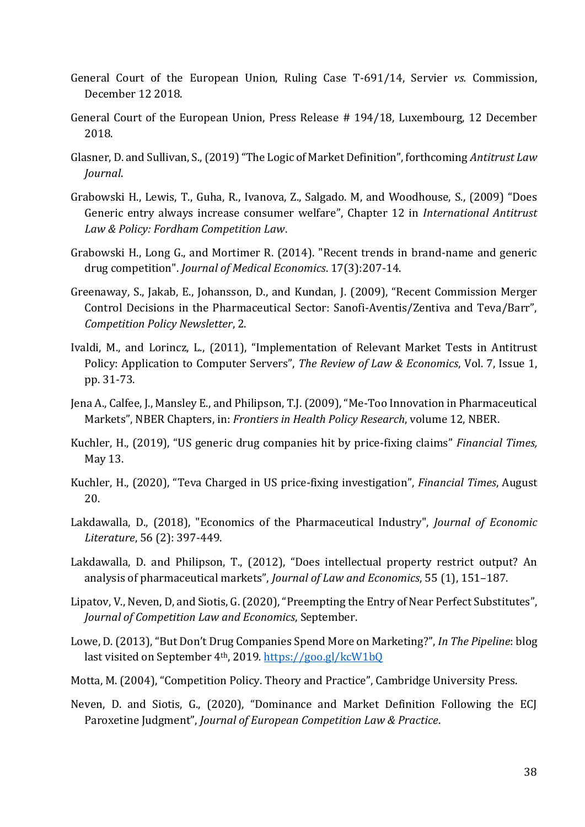- General Court of the European Union, Ruling Case T-691/14, Servier *vs.* Commission, December 12 2018.
- General Court of the European Union, Press Release # 194/18, Luxembourg, 12 December 2018.
- Glasner, D. and Sullivan, S., (2019) "The Logic of Market Definition", forthcoming *Antitrust Law Journal*.
- Grabowski H., Lewis, T., Guha, R., Ivanova, Z., Salgado. M, and Woodhouse, S., (2009) "Does Generic entry always increase consumer welfare", Chapter 12 in *International Antitrust Law & Policy: Fordham Competition Law*.
- Grabowski H., Long G., and Mortimer R. (2014). "Recent trends in brand-name and generic drug competition". *Journal of Medical Economics*. 17(3):207-14.
- Greenaway, S., Jakab, E., Johansson, D., and Kundan, J. (2009), "Recent Commission Merger Control Decisions in the Pharmaceutical Sector: Sanofi-Aventis/Zentiva and Teva/Barr", *Competition Policy Newsletter*, 2.
- Ivaldi, M., and Lorincz, L., (2011), "Implementation of Relevant Market Tests in Antitrust Policy: Application to Computer Servers", *The Review of Law & Economics*, Vol. 7, Issue 1, pp. 31-73.
- Jena A., Calfee, J., Mansley E., and Philipson, T.J. (2009), "Me-Too Innovation in Pharmaceutical Markets", NBER Chapters, in: *Frontiers in Health Policy Research*, volume 12, NBER.
- Kuchler, H., (2019), "US generic drug companies hit by price-fixing claims" *Financial Times,* May 13.
- Kuchler, H., (2020), "Teva Charged in US price-fixing investigation", *Financial Times*, August 20.
- Lakdawalla, D., (2018), "Economics of the Pharmaceutical Industry", *Journal of Economic Literature*, 56 (2): 397-449.
- Lakdawalla, D. and Philipson, T., (2012), "Does intellectual property restrict output? An analysis of pharmaceutical markets", *Journal of Law and Economics*, 55 (1), 151–187.
- Lipatov, V., Neven, D, and Siotis, G. (2020), "Preempting the Entry of Near Perfect Substitutes", *Journal of Competition Law and Economics*, September.
- Lowe, D. (2013), "But Don't Drug Companies Spend More on Marketing?", *In The Pipeline*: blog last visited on September 4th, 2019*.* <https://goo.gl/kcW1bQ>
- Motta, M. (2004), "Competition Policy. Theory and Practice", Cambridge University Press.
- Neven, D. and Siotis, G., (2020), "Dominance and Market Definition Following the ECJ Paroxetine Judgment", *Journal of European Competition Law & Practice*.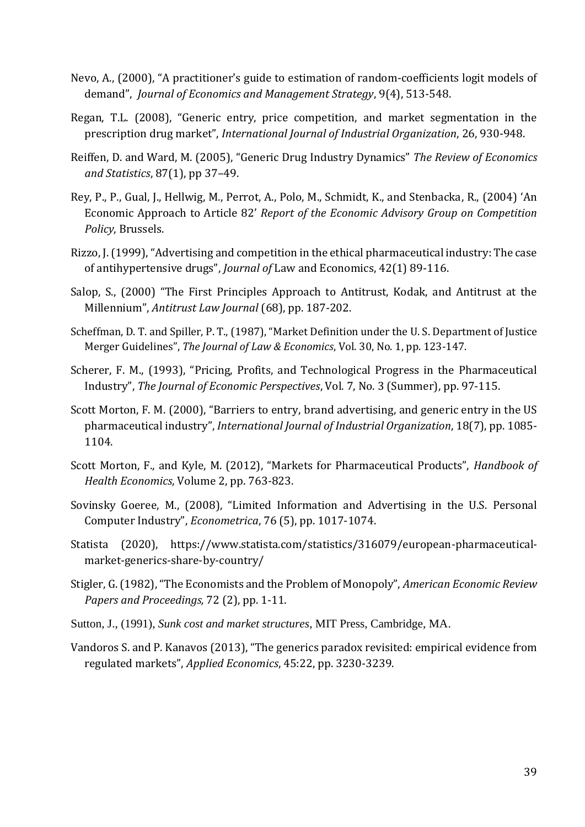- Nevo, A., (2000), "A practitioner's guide to estimation of random-coefficients logit models of demand", *Journal of Economics and Management Strategy*, 9(4), 513-548.
- Regan, T.L. (2008), "Generic entry, price competition, and market segmentation in the prescription drug market", *International Journal of Industrial Organization*, 26, 930-948.
- Reiffen, D. and Ward, M. (2005), "Generic Drug Industry Dynamics" *The Review of Economics and Statistics*, 87(1), pp 37–49.
- Rey, P., P., Gual, J., Hellwig, M., Perrot, A., Polo, M., Schmidt, K., and Stenbacka, R., (2004) 'An Economic Approach to Article 82' *Report of the Economic Advisory Group on Competition Policy*, Brussels.
- Rizzo, J. (1999), "Advertising and competition in the ethical pharmaceutical industry: The case of antihypertensive drugs", *Journal of* Law and Economics, 42(1) 89-116.
- Salop, S., (2000) "The First Principles Approach to Antitrust, Kodak, and Antitrust at the Millennium", *Antitrust Law Journal* (68), pp. 187-202.
- Scheffman, D. T. and Spiller, P. T., (1987), "Market Definition under the U. S. Department of Justice Merger Guidelines", *The Journal of Law & Economics*, Vol. 30, No. 1, pp. 123-147.
- Scherer, F. M., (1993), "Pricing, Profits, and Technological Progress in the Pharmaceutical Industry", *The Journal of Economic Perspectives*, Vol. 7, No. 3 (Summer), pp. 97-115.
- Scott Morton, F. M. (2000), "Barriers to entry, brand advertising, and generic entry in the US pharmaceutical industry", *International Journal of Industrial Organization*, 18(7), pp. 1085- 1104.
- Scott Morton, F., and Kyle, M. (2012), "Markets for Pharmaceutical Products", *Handbook of Health Economics*, Volume 2, pp. 763-823.
- Sovinsky Goeree, M., (2008), "Limited Information and Advertising in the U.S. Personal Computer Industry", *Econometrica*, 76 (5), pp. 1017-1074.
- Statista (2020), https://www.statista.com/statistics/316079/european-pharmaceuticalmarket-generics-share-by-country/
- Stigler, G. (1982), "The Economists and the Problem of Monopoly", *American Economic Review Papers and Proceedings,* 72 (2), pp. 1-11.
- Sutton, J., (1991), *Sunk cost and market structures*, MIT Press, Cambridge, MA.
- Vandoros S. and P. Kanavos (2013), "The generics paradox revisited: empirical evidence from regulated markets", *Applied Economics*, 45:22, pp. 3230-3239.